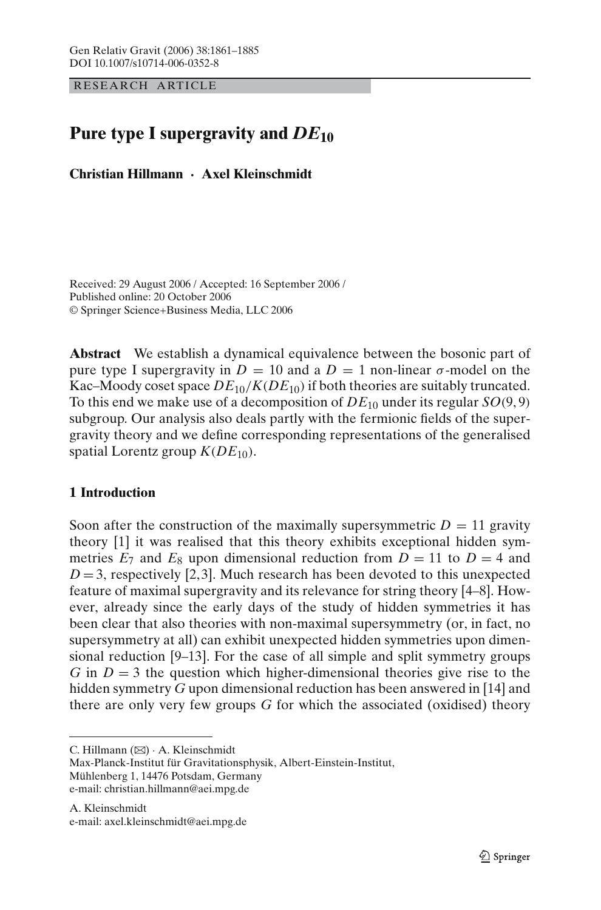RESEARCH ARTICLE

# **Pure type I supergravity and** *DE***<sup>10</sup>**

**Christian Hillmann · Axel Kleinschmidt**

Received: 29 August 2006 / Accepted: 16 September 2006 / Published online: 20 October 2006 © Springer Science+Business Media, LLC 2006

**Abstract** We establish a dynamical equivalence between the bosonic part of pure type I supergravity in  $D = 10$  and a  $D = 1$  non-linear  $\sigma$ -model on the Kac–Moody coset space  $DE_{10}/K(DE_{10})$  if both theories are suitably truncated. To this end we make use of a decomposition of  $DE_{10}$  under its regular  $SO(9,9)$ subgroup. Our analysis also deals partly with the fermionic fields of the supergravity theory and we define corresponding representations of the generalised spatial Lorentz group  $K(DE_{10})$ .

# **1 Introduction**

Soon after the construction of the maximally supersymmetric  $D = 11$  gravity theory [\[1\]](#page-23-0) it was realised that this theory exhibits exceptional hidden symmetries  $E_7$  and  $E_8$  upon dimensional reduction from  $D = 11$  to  $D = 4$  and  $D = 3$  $D = 3$ , respectively [\[2,](#page-23-1)3]. Much research has been devoted to this unexpected feature of maximal supergravity and its relevance for string theory [\[4](#page-23-3)[–8\]](#page-23-4). However, already since the early days of the study of hidden symmetries it has been clear that also theories with non-maximal supersymmetry (or, in fact, no supersymmetry at all) can exhibit unexpected hidden symmetries upon dimensional reduction [\[9](#page-23-5)[–13\]](#page-23-6). For the case of all simple and split symmetry groups *G* in  $D = 3$  the question which higher-dimensional theories give rise to the hidden symmetry *G* upon dimensional reduction has been answered in [\[14\]](#page-23-7) and there are only very few groups *G* for which the associated (oxidised) theory

C. Hillmann (B) · A. Kleinschmidt

Max-Planck-Institut für Gravitationsphysik, Albert-Einstein-Institut, Mühlenberg 1, 14476 Potsdam, Germany e-mail: christian.hillmann@aei.mpg.de

A. Kleinschmidt e-mail: axel.kleinschmidt@aei.mpg.de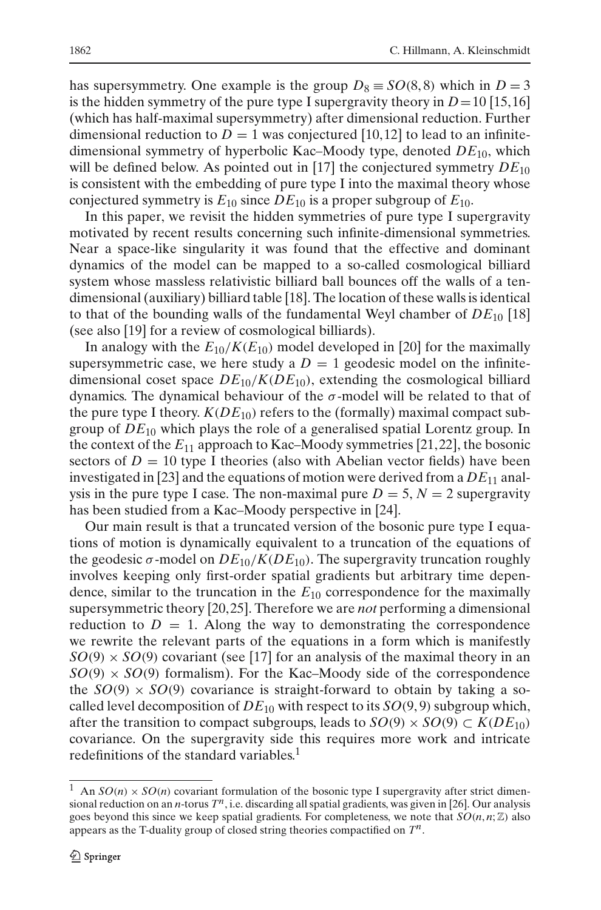has supersymmetry. One example is the group  $D_8 \equiv SO(8,8)$  which in  $D = 3$ is the hidden symmetry of the pure type I supergravity theory in  $D=10$  [\[15](#page-23-8),16] (which has half-maximal supersymmetry) after dimensional reduction. Further dimensional reduction to  $D = 1$  was conjectured [\[10](#page-23-10),12] to lead to an infinitedimensional symmetry of hyperbolic Kac–Moody type, denoted *DE*10, which will be defined below. As pointed out in [\[17\]](#page-24-0) the conjectured symmetry  $DE_{10}$ is consistent with the embedding of pure type I into the maximal theory whose conjectured symmetry is  $E_{10}$  since  $DE_{10}$  is a proper subgroup of  $E_{10}$ .

In this paper, we revisit the hidden symmetries of pure type I supergravity motivated by recent results concerning such infinite-dimensional symmetries. Near a space-like singularity it was found that the effective and dominant dynamics of the model can be mapped to a so-called cosmological billiard system whose massless relativistic billiard ball bounces off the walls of a tendimensional (auxiliary) billiard table [\[18\]](#page-24-1). The location of these walls is identical to that of the bounding walls of the fundamental Weyl chamber of  $DE_{10}$  [\[18\]](#page-24-1) (see also [\[19\]](#page-24-2) for a review of cosmological billiards).

In analogy with the  $E_{10}/K(E_{10})$  model developed in [\[20\]](#page-24-3) for the maximally supersymmetric case, we here study a  $D = 1$  geodesic model on the infinitedimensional coset space  $DE_{10}/K(DE_{10})$ , extending the cosmological billiard dynamics. The dynamical behaviour of the  $\sigma$ -model will be related to that of the pure type I theory.  $K(DE_{10})$  refers to the (formally) maximal compact subgroup of *DE*<sup>10</sup> which plays the role of a generalised spatial Lorentz group. In the context of the  $E_{11}$  approach to Kac–Moody symmetries [\[21,](#page-24-4)22], the bosonic sectors of  $D = 10$  type I theories (also with Abelian vector fields) have been investigated in [\[23\]](#page-24-6) and the equations of motion were derived from a  $DE_{11}$  analysis in the pure type I case. The non-maximal pure  $D = 5$ ,  $N = 2$  supergravity has been studied from a Kac–Moody perspective in [\[24\]](#page-24-7).

Our main result is that a truncated version of the bosonic pure type I equations of motion is dynamically equivalent to a truncation of the equations of the geodesic  $\sigma$ -model on  $DE_{10}/K(DE_{10})$ . The supergravity truncation roughly involves keeping only first-order spatial gradients but arbitrary time dependence, similar to the truncation in the  $E_{10}$  correspondence for the maximally supersymmetric theory [\[20](#page-24-3)[, 25](#page-24-8)]. Therefore we are *not* performing a dimensional reduction to  $D = 1$ . Along the way to demonstrating the correspondence we rewrite the relevant parts of the equations in a form which is manifestly  $SO(9) \times SO(9)$  covariant (see [\[17\]](#page-24-0) for an analysis of the maximal theory in an  $SO(9) \times SO(9)$  formalism). For the Kac–Moody side of the correspondence the  $SO(9) \times SO(9)$  covariance is straight-forward to obtain by taking a socalled level decomposition of  $DE_{10}$  with respect to its  $SO(9, 9)$  subgroup which, after the transition to compact subgroups, leads to  $SO(9) \times SO(9) \subset K(DE_{10})$ covariance. On the supergravity side this requires more work and intricate redefinitions of the standard variables.<sup>[1](#page-1-0)</sup>

<span id="page-1-0"></span><sup>&</sup>lt;sup>1</sup> An  $SO(n) \times SO(n)$  covariant formulation of the bosonic type I supergravity after strict dimensional reduction on an *n*-torus *Tn*, i.e. discarding all spatial gradients, was given in [\[26](#page-24-9)]. Our analysis goes beyond this since we keep spatial gradients. For completeness, we note that  $SO(n, n; \mathbb{Z})$  also appears as the T-duality group of closed string theories compactified on *Tn*.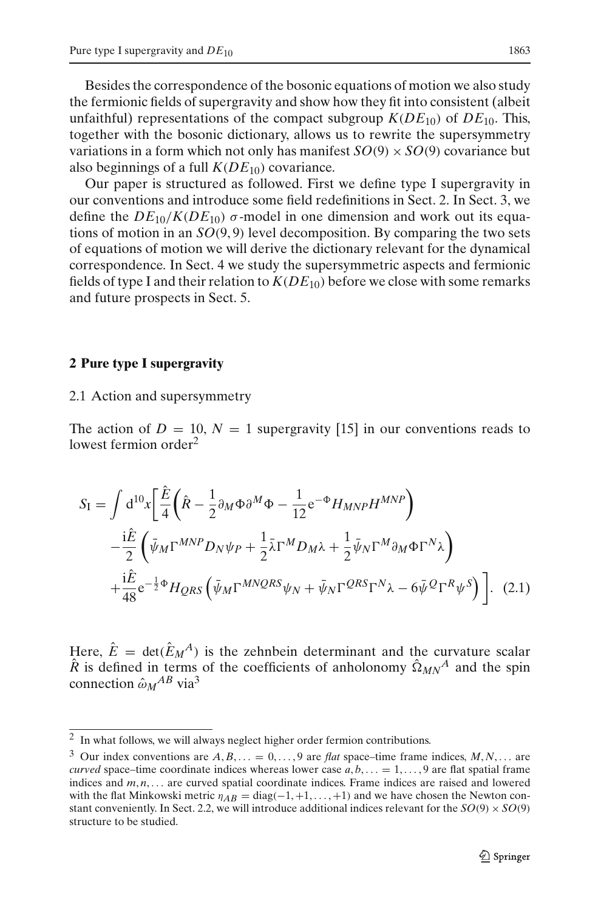Besides the correspondence of the bosonic equations of motion we also study the fermionic fields of supergravity and show how they fit into consistent (albeit unfaithful) representations of the compact subgroup  $K(DE_{10})$  of  $DE_{10}$ . This, together with the bosonic dictionary, allows us to rewrite the supersymmetry variations in a form which not only has manifest  $SO(9) \times SO(9)$  covariance but also beginnings of a full  $K(DE_{10})$  covariance.

Our paper is structured as followed. First we define type I supergravity in our conventions and introduce some field redefinitions in Sect. [2.](#page-2-0) In Sect. [3,](#page-8-0) we define the  $DE_{10}/K(DE_{10})$   $\sigma$ -model in one dimension and work out its equations of motion in an *SO*(9, 9) level decomposition. By comparing the two sets of equations of motion we will derive the dictionary relevant for the dynamical correspondence. In Sect. [4](#page-15-0) we study the supersymmetric aspects and fermionic fields of type I and their relation to  $K(DE_{10})$  before we close with some remarks and future prospects in Sect. [5.](#page-21-0)

#### <span id="page-2-0"></span>**2 Pure type I supergravity**

#### 2.1 Action and supersymmetry

The action of  $D = 10$ ,  $N = 1$  supergravity [\[15\]](#page-23-8) in our conventions reads to lowest fermion order<sup>[2](#page-2-1)</sup>

<span id="page-2-3"></span>
$$
S_{I} = \int d^{10}x \left[ \frac{\hat{E}}{4} \left( \hat{R} - \frac{1}{2} \partial_{M} \Phi \partial^{M} \Phi - \frac{1}{12} e^{-\Phi} H_{MNP} H^{MNP} \right) \right. \\ \left. - \frac{i\hat{E}}{2} \left( \bar{\psi}_{M} \Gamma^{MNP} D_{N} \psi_{P} + \frac{1}{2} \bar{\lambda} \Gamma^{M} D_{M} \lambda + \frac{1}{2} \bar{\psi}_{N} \Gamma^{M} \partial_{M} \Phi \Gamma^{N} \lambda \right) \right. \\ \left. + \frac{i\hat{E}}{48} e^{-\frac{1}{2} \Phi} H_{QRS} \left( \bar{\psi}_{M} \Gamma^{MNQRS} \psi_{N} + \bar{\psi}_{N} \Gamma^{QRS} \Gamma^{N} \lambda - 6 \bar{\psi}^{Q} \Gamma^{R} \psi^{S} \right) \right]. \tag{2.1}
$$

Here,  $\hat{E} = \det(\hat{E}_M^A)$  is the zehnbein determinant and the curvature scalar  $\hat{R}$  is defined in terms of the coefficients of anholonomy  $\hat{\Omega}_{MN}^A$  and the spin connection  $\hat{\omega}_M{}^{AB}$  via<sup>3</sup>

<sup>&</sup>lt;sup>2</sup> In what follows, we will always neglect higher order fermion contributions.

<span id="page-2-2"></span><span id="page-2-1"></span><sup>&</sup>lt;sup>3</sup> Our index conventions are  $A, B, \ldots = 0, \ldots, 9$  are *flat* space–time frame indices,  $M, N, \ldots$  are *curved* space–time coordinate indices whereas lower case  $a, b, \ldots = 1, \ldots, 9$  are flat spatial frame indices and  $m, n, \ldots$  are curved spatial coordinate indices. Frame indices are raised and lowered with the flat Minkowski metric  $\eta_{AB} = \text{diag}(-1, +1, \dots, +1)$  and we have chosen the Newton con-stant conveniently. In Sect. [2.2,](#page-4-0) we will introduce additional indices relevant for the  $SO(9) \times SO(9)$ structure to be studied.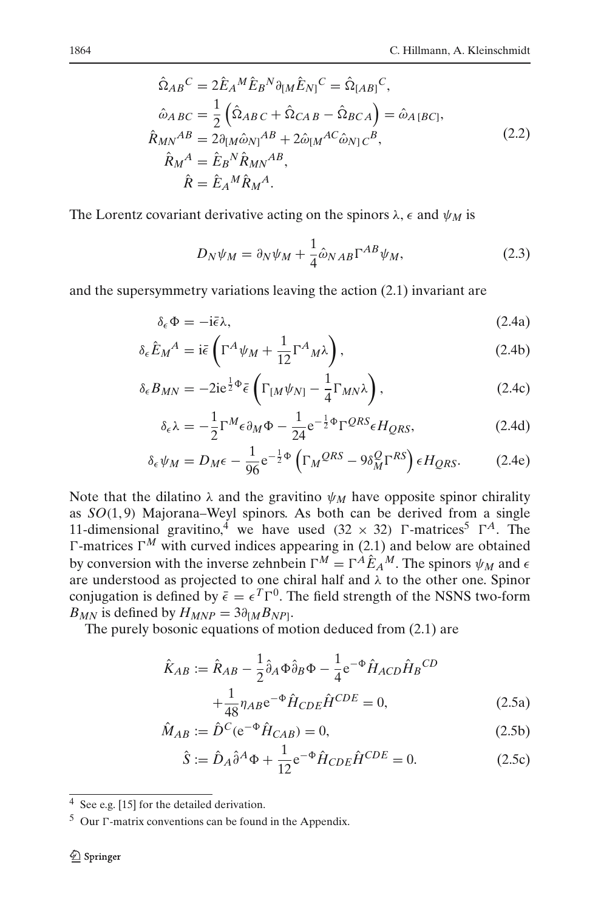$$
\hat{\Omega}_{AB}^C = 2\hat{E}_A{}^M \hat{E}_B{}^N \partial_{[M} \hat{E}_{N]}^C = \hat{\Omega}_{[AB]}^C,
$$
  
\n
$$
\hat{\omega}_{A}{}_{BC} = \frac{1}{2} \left( \hat{\Omega}_{AB}{}_{C} + \hat{\Omega}_{CAB} - \hat{\Omega}_{BCA} \right) = \hat{\omega}_{A[BC]},
$$
  
\n
$$
\hat{R}_{MN}{}^{AB} = 2\partial_{[M} \hat{\omega}_{N]}{}^{AB} + 2\hat{\omega}_{[M}{}^{AC} \hat{\omega}_{N]}{}_{C}{}^{B},
$$
  
\n
$$
\hat{R}_{M}{}^{A} = \hat{E}_B{}^N \hat{R}_{MN}{}^{AB},
$$
  
\n
$$
\hat{R} = \hat{E}_A{}^M \hat{R}_M{}^A.
$$
  
\n(2.2)

<span id="page-3-2"></span>The Lorentz covariant derivative acting on the spinors  $\lambda$ ,  $\epsilon$  and  $\psi_M$  is

<span id="page-3-5"></span>
$$
D_N \psi_M = \partial_N \psi_M + \frac{1}{4} \hat{\omega}_{NAB} \Gamma^{AB} \psi_M,
$$
\n(2.3)

<span id="page-3-6"></span>and the supersymmetry variations leaving the action [\(2.1\)](#page-2-3) invariant are

$$
\delta_{\epsilon} \Phi = -i \bar{\epsilon} \lambda, \tag{2.4a}
$$

$$
\delta_{\epsilon}\hat{E}_M{}^A = \mathrm{i}\bar{\epsilon}\left(\Gamma^A\psi_M + \frac{1}{12}\Gamma^A{}_M\lambda\right),\tag{2.4b}
$$

$$
\delta_{\epsilon} B_{MN} = -2ie^{\frac{1}{2}\Phi}\bar{\epsilon}\left(\Gamma_{[M}\psi_{N]} - \frac{1}{4}\Gamma_{MN}\lambda\right),\tag{2.4c}
$$

$$
\delta_{\epsilon}\lambda = -\frac{1}{2}\Gamma^{M}\epsilon \partial_{M}\Phi - \frac{1}{24}e^{-\frac{1}{2}\Phi}\Gamma^{QRS}\epsilon H_{QRS},
$$
 (2.4d)

$$
\delta_{\epsilon}\psi_M = D_M \epsilon - \frac{1}{96} e^{-\frac{1}{2}\Phi} \left(\Gamma_M^{QRS} - 9\delta_M^Q \Gamma^{RS}\right) \epsilon H_{QRS}.
$$
 (2.4e)

Note that the dilatino  $\lambda$  and the gravitino  $\psi_M$  have opposite spinor chirality as *SO*(1, 9) Majorana–Weyl spinors. As both can be derived from a single 11-dimensional gravitino,<sup>[4](#page-3-0)</sup> we have used  $(32 \times 32)$   $\Gamma$ -matrices<sup>[5](#page-3-1)</sup>  $\Gamma^A$ . The  $\Gamma$ -matrices  $\Gamma^M$  with curved indices appearing in [\(2.1\)](#page-2-3) and below are obtained by conversion with the inverse zehnbein  $\Gamma^M = \Gamma^A \hat{E}_A{}^M$ . The spinors  $\psi_M$  and  $\epsilon$ are understood as projected to one chiral half and  $\lambda$  to the other one. Spinor conjugation is defined by  $\bar{\epsilon} = \epsilon^T \Gamma^0$ . The field strength of the NSNS two-form  $B_{MN}$  is defined by  $H_{MNP} = 3\partial_{[M}B_{NP]}$ .

<span id="page-3-4"></span>The purely bosonic equations of motion deduced from [\(2.1\)](#page-2-3) are

<span id="page-3-3"></span>
$$
\hat{K}_{AB} := \hat{R}_{AB} - \frac{1}{2} \hat{\partial}_A \Phi \hat{\partial}_B \Phi - \frac{1}{4} e^{-\Phi} \hat{H}_{ACD} \hat{H}_B{}^{CD} \n+ \frac{1}{48} \eta_{AB} e^{-\Phi} \hat{H}_{CDE} \hat{H}^{CDE} = 0,
$$
\n(2.5a)

$$
\hat{M}_{AB} := \hat{D}^C (e^{-\Phi} \hat{H}_{CAB}) = 0,
$$
\n(2.5b)

$$
\hat{S} := \hat{D}_A \hat{\partial}^A \Phi + \frac{1}{12} e^{-\Phi} \hat{H}_{CDE} \hat{H}^{CDE} = 0.
$$
 (2.5c)

 $\frac{4}{4}$  See e.g. [\[15](#page-23-8)] for the detailed derivation.

<span id="page-3-1"></span><span id="page-3-0"></span> $5$  Our  $\Gamma$ -matrix conventions can be found in the Appendix.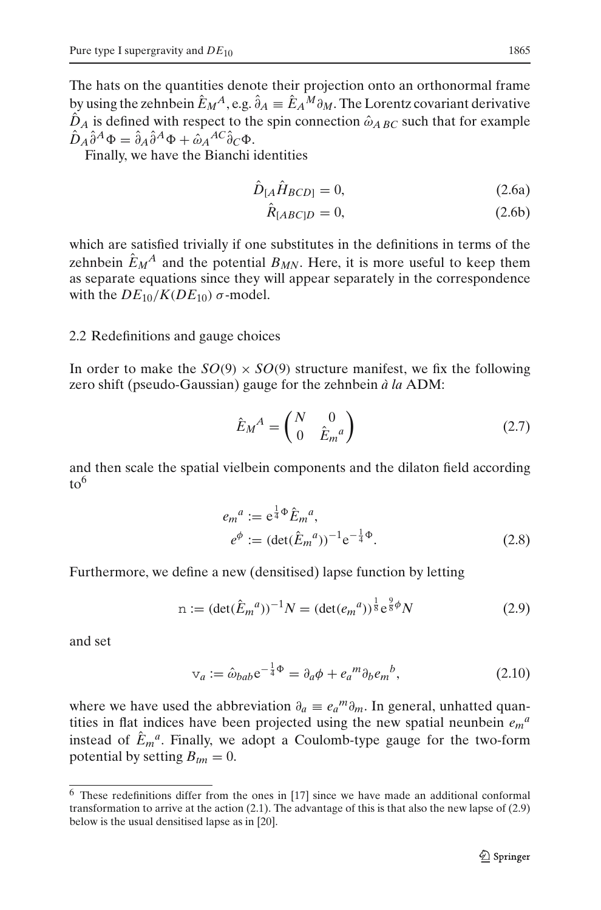The hats on the quantities denote their projection onto an orthonormal frame by using the zehnbein  $\hat{E}_M^A$ , e.g.  $\hat{\partial}_A = \hat{E}_A^M \partial_M$ . The Lorentz covariant derivative  $\hat{D}_A$  is defined with respect to the spin connection  $\hat{\omega}_{A}$  *BC* such that for example  $\hat{D}_A \hat{\partial}^A \Phi = \hat{\partial}_A \hat{\partial}^A \Phi + \hat{\omega}_A^{AC} \hat{\partial}_C \Phi.$ 

<span id="page-4-3"></span>Finally, we have the Bianchi identities

$$
\hat{D}_{[A}\hat{H}_{BCD]} = 0,\t(2.6a)
$$

$$
R_{[ABC]D} = 0,\t\t(2.6b)
$$

which are satisfied trivially if one substitutes in the definitions in terms of the zehnbein  $E_M^A$  and the potential  $B_{MN}$ . Here, it is more useful to keep them as separate equations since they will appear separately in the correspondence with the  $DE_{10}/K(DE_{10})$  σ-model.

## <span id="page-4-0"></span>2.2 Redefinitions and gauge choices

In order to make the  $SO(9) \times SO(9)$  structure manifest, we fix the following zero shift (pseudo-Gaussian) gauge for the zehnbein *à la* ADM:

$$
\hat{E}_M^A = \begin{pmatrix} N & 0 \\ 0 & \hat{E}_m{}^a \end{pmatrix} \tag{2.7}
$$

<span id="page-4-5"></span>and then scale the spatial vielbein components and the dilaton field according  $to^{6}$ 

$$
e_m^a := e^{\frac{1}{4}\Phi} \hat{E}_m^a,
$$
  
\n
$$
e^{\phi} := (\det(\hat{E}_m^a))^{-1} e^{-\frac{1}{4}\Phi}.
$$
\n(2.8)

Furthermore, we define a new (densitised) lapse function by letting

$$
n := (\det(\hat{E}_m{}^a))^{-1} N = (\det(e_m{}^a))^{\frac{1}{8}} e^{\frac{9}{8}\phi} N \tag{2.9}
$$

<span id="page-4-4"></span><span id="page-4-2"></span>and set

$$
\mathbf{v}_a := \hat{\omega}_{bab} \mathbf{e}^{-\frac{1}{4}\Phi} = \partial_a \phi + e_a^m \partial_b e_m^b, \tag{2.10}
$$

where we have used the abbreviation  $\partial_a \equiv e_a^m \partial_m$ . In general, unhatted quantities in flat indices have been projected using the new spatial neunbein  $e_m{}^a$ instead of  $E_m^a$ . Finally, we adopt a Coulomb-type gauge for the two-form potential by setting  $B_{tm} = 0$ .

<span id="page-4-1"></span> $6$  These redefinitions differ from the ones in [\[17](#page-24-0)] since we have made an additional conformal transformation to arrive at the action [\(2.1\)](#page-2-3). The advantage of this is that also the new lapse of [\(2.9\)](#page-4-2) below is the usual densitised lapse as in [\[20\]](#page-24-3).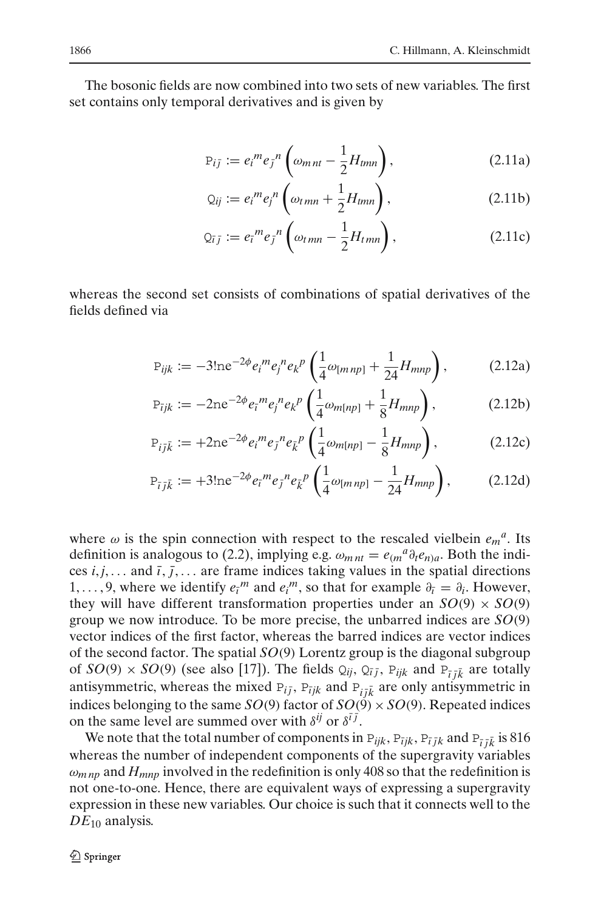The bosonic fields are now combined into two sets of new variables. The first set contains only temporal derivatives and is given by

<span id="page-5-0"></span>
$$
P_{ij} := e_i^m e_j^{-n} \left( \omega_{mnt} - \frac{1}{2} H_{tmn} \right), \qquad (2.11a)
$$

$$
Q_{ij} := e_i^m e_j^n \left( \omega_{tmn} + \frac{1}{2} H_{tmn} \right), \qquad (2.11b)
$$

$$
Q_{\bar{i}j} := e_{\bar{i}}{}^{m} e_{j}{}^{n} \left( \omega_{tmn} - \frac{1}{2} H_{tmn} \right), \qquad (2.11c)
$$

<span id="page-5-1"></span>whereas the second set consists of combinations of spatial derivatives of the fields defined via

$$
P_{ijk} := -3! n e^{-2\phi} e_i^m e_j^n e_k^p \left( \frac{1}{4} \omega_{[mnp]} + \frac{1}{24} H_{mnp} \right), \tag{2.12a}
$$

$$
P_{ijk} := -2ne^{-2\phi}e_i{}^m e_j{}^n e_k{}^p \left(\frac{1}{4}\omega_{m[np]} + \frac{1}{8}H_{mnp}\right),\tag{2.12b}
$$

$$
P_{i\bar{j}\bar{k}} := +2ne^{-2\phi}e_i{}^m e_j{}^n e_{\bar{k}}{}^p \left(\frac{1}{4}\omega_{m[np]} - \frac{1}{8}H_{mnp}\right),
$$
 (2.12c)

$$
P_{\bar{i}j\bar{k}} := +3! n e^{-2\phi} e_{\bar{i}}{}^{m} e_{\bar{j}}{}^{n} e_{\bar{k}}{}^{p} \left( \frac{1}{4} \omega_{[mnp]} - \frac{1}{24} H_{mnp} \right), \tag{2.12d}
$$

where  $\omega$  is the spin connection with respect to the rescaled vielbein  $e_m^a$ . Its definition is analogous to [\(2.2\)](#page-3-2), implying e.g.  $\omega_{mnt} = e_{(m}{}^a \partial_t e_{n})a$ . Both the indices  $i, j, \ldots$  and  $\overline{i}, \overline{j}, \ldots$  are frame indices taking values in the spatial directions 1, ..., 9, where we identify  $e_i^m$  and  $e_i^m$ , so that for example  $\partial_{\bar{i}} = \partial_i$ . However, they will have different transformation properties under an  $SO(9) \times SO(9)$ group we now introduce. To be more precise, the unbarred indices are *SO*(9) vector indices of the first factor, whereas the barred indices are vector indices of the second factor. The spatial *SO*(9) Lorentz group is the diagonal subgroup of  $SO(9) \times SO(9)$  (see also [\[17\]](#page-24-0)). The fields  $Q_{ij}$ ,  $Q_{\bar{i}j}$ ,  $P_{ijk}$  and  $P_{\bar{i}j\bar{k}}$  are totally antisymmetric, whereas the mixed  $P_{ij}$ ,  $P_{ijk}$  and  $P_{i\bar{j}\bar{k}}$  are only antisymmetric in indices belonging to the same *SO*(9) factor of *SO*(9)  $\times$  *SO*(9). Repeated indices on the same level are summed over with  $\delta^{ij}$  or  $\delta^{i\bar{j}}$ .

We note that the total number of components in  $P_{ijk}$ ,  $P_{ijk}$ ,  $P_{ijk}$  and  $P_{\bar{i}j\bar{k}}$  is 816 whereas the number of independent components of the supergravity variables  $\omega_{mnn}$  and  $H_{mnn}$  involved in the redefinition is only 408 so that the redefinition is not one-to-one. Hence, there are equivalent ways of expressing a supergravity expression in these new variables. Our choice is such that it connects well to the *DE*<sup>10</sup> analysis.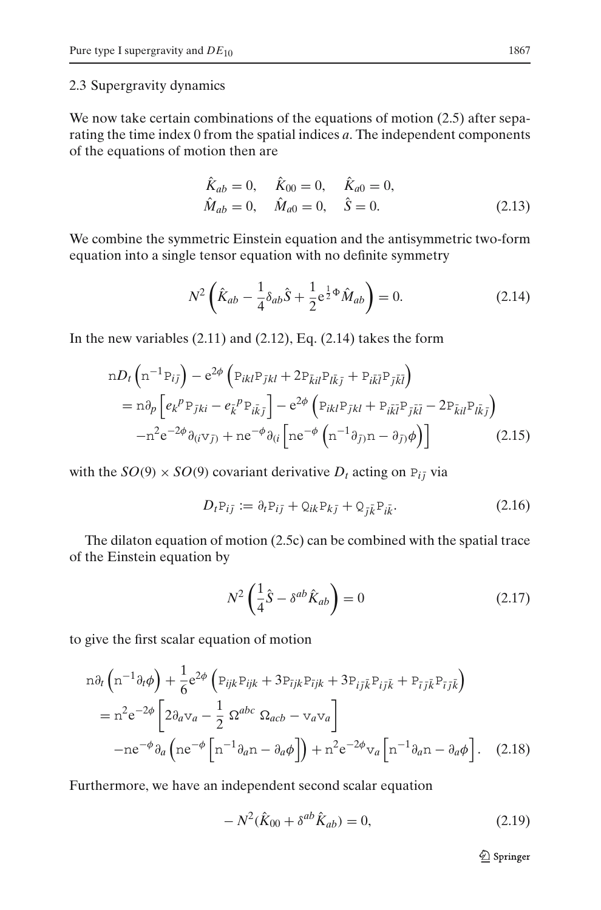#### 2.3 Supergravity dynamics

We now take certain combinations of the equations of motion [\(2.5\)](#page-3-3) after separating the time index 0 from the spatial indices *a*. The independent components of the equations of motion then are

$$
\hat{K}_{ab} = 0, \quad \hat{K}_{00} = 0, \quad \hat{K}_{a0} = 0, \n\hat{M}_{ab} = 0, \quad \hat{M}_{a0} = 0, \quad \hat{S} = 0.
$$
\n(2.13)

We combine the symmetric Einstein equation and the antisymmetric two-form equation into a single tensor equation with no definite symmetry

$$
N^{2}\left(\hat{K}_{ab} - \frac{1}{4}\delta_{ab}\hat{S} + \frac{1}{2}e^{\frac{1}{2}\Phi}\hat{M}_{ab}\right) = 0.
$$
 (2.14)

<span id="page-6-1"></span><span id="page-6-0"></span>In the new variables  $(2.11)$  and  $(2.12)$ , Eq.  $(2.14)$  takes the form

$$
nD_t \left( n^{-1} P_{ij} \right) - e^{2\phi} \left( P_{ikl} P_{jkl} + 2 P_{\bar{k}il} P_{l\bar{k}\bar{j}} + P_{i\bar{k}\bar{l}} P_{j\bar{k}\bar{l}} \right)
$$
  
=  $n\partial_p \left[ e_k^p P_{\bar{j}ki} - e_{\bar{k}}^p P_{i\bar{k}\bar{j}} \right] - e^{2\phi} \left( P_{ikl} P_{jkl} + P_{i\bar{k}\bar{l}} P_{j\bar{k}\bar{l}} - 2 P_{\bar{k}il} P_{l\bar{k}\bar{j}} \right)$   
 $- n^2 e^{-2\phi} \partial_{(i} \nabla_{\bar{j}} + n e^{-\phi} \partial_{(i} \left[ n e^{-\phi} \left( n^{-1} \partial_{\bar{j}} n - \partial_{\bar{j}} \phi \right) \right]$  (2.15)

<span id="page-6-2"></span>with the  $SO(9) \times SO(9)$  covariant derivative  $D_t$  acting on  $P_{i\bar{j}}$  via

$$
D_t P_{i\bar{j}} := \partial_t P_{i\bar{j}} + Q_{ik} P_{k\bar{j}} + Q_{\bar{j}\bar{k}} P_{i\bar{k}}.
$$
 (2.16)

The dilaton equation of motion [\(2.5c\)](#page-3-4) can be combined with the spatial trace of the Einstein equation by

$$
N^2 \left( \frac{1}{4} \hat{S} - \delta^{ab} \hat{K}_{ab} \right) = 0 \tag{2.17}
$$

<span id="page-6-3"></span>to give the first scalar equation of motion

$$
n\partial_t \left( n^{-1} \partial_t \phi \right) + \frac{1}{6} e^{2\phi} \left( P_{ijk} P_{ijk} + 3 P_{ijk} P_{ijk} + 3 P_{ij\bar{k}} P_{ij\bar{k}} + P_{\bar{i}j\bar{k}} P_{\bar{i}j\bar{k}} \right)
$$
  
=  $n^2 e^{-2\phi} \left[ 2\partial_a v_a - \frac{1}{2} \Omega^{abc} \Omega_{acb} - v_a v_a \right]$   
-  $ne^{-\phi} \partial_a \left( ne^{-\phi} \left[ n^{-1} \partial_a n - \partial_a \phi \right] \right) + n^2 e^{-2\phi} v_a \left[ n^{-1} \partial_a n - \partial_a \phi \right].$  (2.18)

Furthermore, we have an independent second scalar equation

$$
-N^2(\hat{K}_{00} + \delta^{ab}\hat{K}_{ab}) = 0, \tag{2.19}
$$

 $\mathcal{Q}$  Springer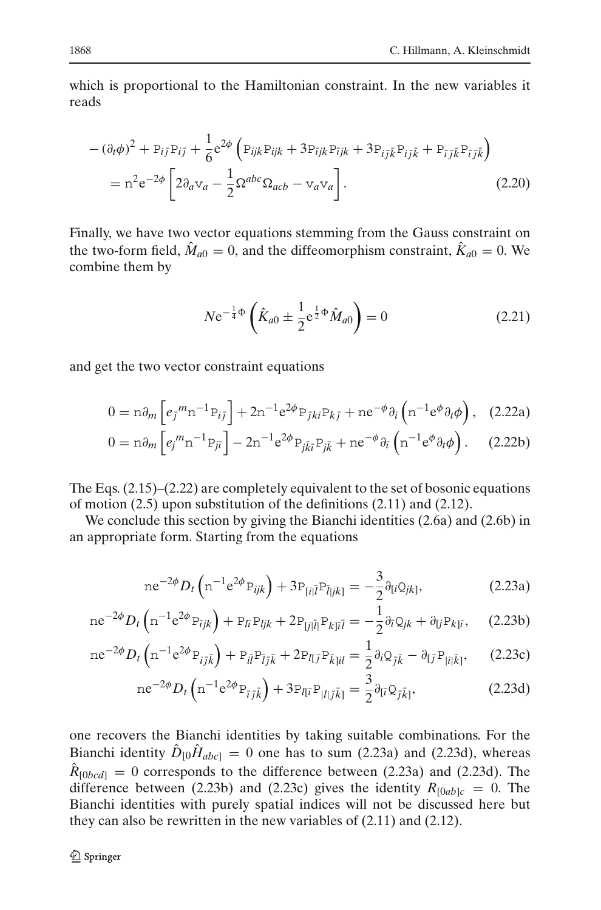which is proportional to the Hamiltonian constraint. In the new variables it reads

<span id="page-7-3"></span>
$$
-(\partial_t \phi)^2 + P_{ij} P_{ij} + \frac{1}{6} e^{2\phi} \left( P_{ijk} P_{ijk} + 3 P_{ijk} P_{ijk} + 3 P_{ij} \bar{k} P_{ij} \bar{k} + P_{\bar{i} \bar{j} \bar{k}} P_{\bar{i} \bar{j} \bar{k}} \right)
$$
  
= 
$$
n^2 e^{-2\phi} \left[ 2 \partial_a v_a - \frac{1}{2} \Omega^{abc} \Omega_{acb} - v_a v_a \right].
$$
 (2.20)

Finally, we have two vector equations stemming from the Gauss constraint on the two-form field,  $\hat{M}_{a0} = 0$ , and the diffeomorphism constraint,  $\hat{K}_{a0} = 0$ . We combine them by

<span id="page-7-0"></span>
$$
N e^{-\frac{1}{4}\Phi} \left( \hat{K}_{a0} \pm \frac{1}{2} e^{\frac{1}{2}\Phi} \hat{M}_{a0} \right) = 0 \tag{2.21}
$$

<span id="page-7-4"></span>and get the two vector constraint equations

$$
0 = n\partial_m \left[ e_j{}^m n^{-1} P_{ij} \right] + 2n^{-1} e^{2\phi} P_{jki} P_{kj} + n e^{-\phi} \partial_i \left( n^{-1} e^{\phi} \partial_i \phi \right), \quad (2.22a)
$$

$$
0 = \mathbf{n}\partial_m \left[ e_j^m \mathbf{n}^{-1} \mathbf{P}_{j\bar{\imath}} \right] - 2\mathbf{n}^{-1} e^{2\phi} \mathbf{P}_{j\bar{k}\bar{\imath}} \mathbf{P}_{j\bar{k}} + \mathbf{n} e^{-\phi} \partial_{\bar{\imath}} \left( \mathbf{n}^{-1} e^{\phi} \partial_t \phi \right). \tag{2.22b}
$$

The Eqs. [\(2.15\)](#page-6-1)–[\(2.22\)](#page-7-0) are completely equivalent to the set of bosonic equations of motion [\(2.5\)](#page-3-3) upon substitution of the definitions [\(2.11\)](#page-5-0) and [\(2.12\)](#page-5-1).

We conclude this section by giving the Bianchi identities [\(2.6a\)](#page-4-3) and [\(2.6b\)](#page-4-3) in an appropriate form. Starting from the equations

<span id="page-7-2"></span>
$$
ne^{-2\phi}D_t\left(n^{-1}e^{2\phi}P_{ijk}\right) + 3P_{[i|\bar{l}}P_{\bar{l}|jk]} = -\frac{3}{2}\partial_{[i}Q_{jk]},
$$
\n(2.23a)

<span id="page-7-1"></span>
$$
ne^{-2\phi}D_t\left(n^{-1}e^{2\phi}P_{\bar{i}jk}\right) + P_{\bar{i}i}P_{ljk} + 2P_{\bar{i}j|\bar{l}|}P_{k|\bar{i}\bar{l}} = -\frac{1}{2}\partial_{\bar{i}}Q_{jk} + \partial_{\bar{i}j}P_{k|\bar{i}},\qquad(2.23b)
$$

$$
ne^{-2\phi}D_t\left(n^{-1}e^{2\phi}P_{i\bar{j}\bar{k}}\right) + P_{i\bar{l}}P_{\bar{l}j\bar{k}} + 2P_{l\bar{l}j}P_{\bar{k}}_{j\bar{l}l} = \frac{1}{2}\partial_iQ_{\bar{j}\bar{k}} - \partial_{\bar{l}j}P_{|i|\bar{k}|},\qquad(2.23c)
$$

$$
ne^{-2\phi}D_t\left(n^{-1}e^{2\phi}P_{\bar{i}j\bar{k}}\right) + 3P_{I[\bar{i}}P_{|I|\bar{j}\bar{k}]} = \frac{3}{2}\partial_{[\bar{i}}Q_{\bar{j}\bar{k}]},\tag{2.23d}
$$

one recovers the Bianchi identities by taking suitable combinations. For the Bianchi identity  $\hat{D}_{[0} \hat{H}_{abc]} = 0$  one has to sum [\(2.23a\)](#page-7-1) and [\(2.23d\)](#page-7-1), whereas  $\hat{R}_{[0bcd]} = 0$  corresponds to the difference between [\(2.23a\)](#page-7-1) and [\(2.23d\)](#page-7-1). The difference between [\(2.23b\)](#page-7-1) and [\(2.23c\)](#page-7-1) gives the identity  $R_{[0ab]c} = 0$ . The Bianchi identities with purely spatial indices will not be discussed here but they can also be rewritten in the new variables of [\(2.11\)](#page-5-0) and [\(2.12\)](#page-5-1).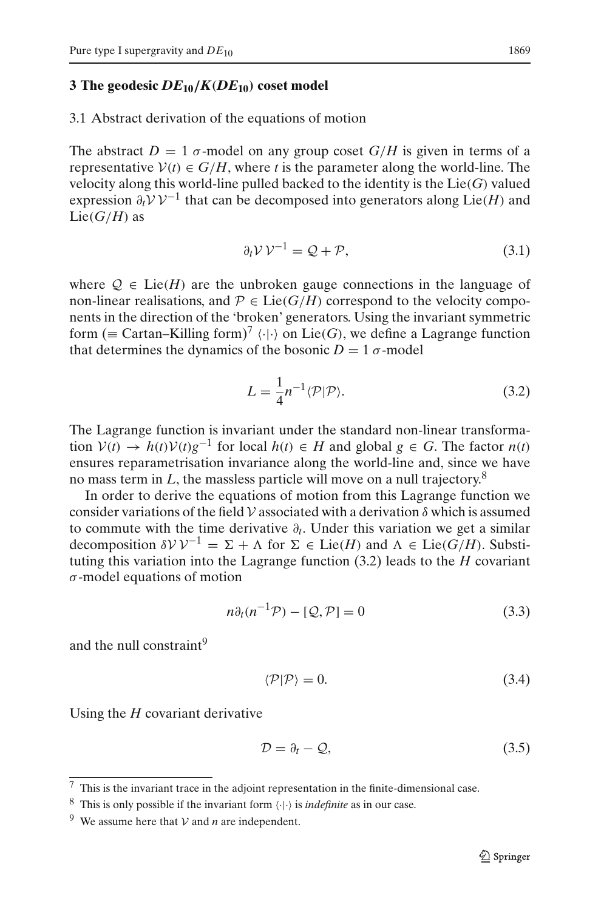#### <span id="page-8-0"></span>**3 The geodesic** *DE***10***/K(DE***10***)* **coset model**

<span id="page-8-7"></span>3.1 Abstract derivation of the equations of motion

The abstract  $D = 1$   $\sigma$ -model on any group coset  $G/H$  is given in terms of a representative  $V(t) \in G/H$ , where *t* is the parameter along the world-line. The velocity along this world-line pulled backed to the identity is the Lie(*G*) valued expression  $\partial_t V V^{-1}$  that can be decomposed into generators along Lie(*H*) and  $Lie(G/H)$  as

$$
\partial_t \mathcal{V} \mathcal{V}^{-1} = \mathcal{Q} + \mathcal{P},\tag{3.1}
$$

<span id="page-8-6"></span>where  $Q \in \text{Lie}(H)$  are the unbroken gauge connections in the language of non-linear realisations, and  $P \in \text{Lie}(G/H)$  correspond to the velocity components in the direction of the 'broken' generators. Using the invariant symmetric form ( $\equiv$  Cartan–Killing form)<sup>[7](#page-8-1)</sup>  $\langle \cdot | \cdot \rangle$  on Lie(*G*), we define a Lagrange function that determines the dynamics of the bosonic  $D = 1 \sigma$ -model

$$
L = \frac{1}{4} n^{-1} \langle \mathcal{P} | \mathcal{P} \rangle.
$$
 (3.2)

<span id="page-8-3"></span>The Lagrange function is invariant under the standard non-linear transformation *V*(*t*) → *h*(*t*)*V*(*t*)*g*<sup>-1</sup> for local *h*(*t*) ∈ *H* and global *g* ∈ *G*. The factor *n*(*t*) ensures reparametrisation invariance along the world-line and, since we have no mass term in L, the massless particle will move on a null trajectory.<sup>[8](#page-8-2)</sup>

In order to derive the equations of motion from this Lagrange function we consider variations of the field  $V$  associated with a derivation  $\delta$  which is assumed to commute with the time derivative ∂*t*. Under this variation we get a similar decomposition  $\delta V V^{-1} = \Sigma + \Lambda$  for  $\Sigma \in \text{Lie}(H)$  and  $\Lambda \in \text{Lie}(G/H)$ . Substituting this variation into the Lagrange function [\(3.2\)](#page-8-3) leads to the *H* covariant  $\sigma$ -model equations of motion

<span id="page-8-9"></span>
$$
n\partial_t(n^{-1}\mathcal{P}) - [\mathcal{Q}, \mathcal{P}] = 0 \tag{3.3}
$$

<span id="page-8-5"></span>and the null constraint<sup>[9](#page-8-4)</sup>

$$
\langle \mathcal{P} | \mathcal{P} \rangle = 0. \tag{3.4}
$$

Using the *H* covariant derivative

<span id="page-8-8"></span>
$$
\mathcal{D} = \partial_t - \mathcal{Q},\tag{3.5}
$$

 $7$  This is the invariant trace in the adjoint representation in the finite-dimensional case.

<span id="page-8-1"></span><sup>&</sup>lt;sup>8</sup> This is only possible if the invariant form  $\langle \cdot | \cdot \rangle$  is *indefinite* as in our case.

<span id="page-8-4"></span><span id="page-8-2"></span><sup>&</sup>lt;sup>9</sup> We assume here that  $V$  and *n* are independent.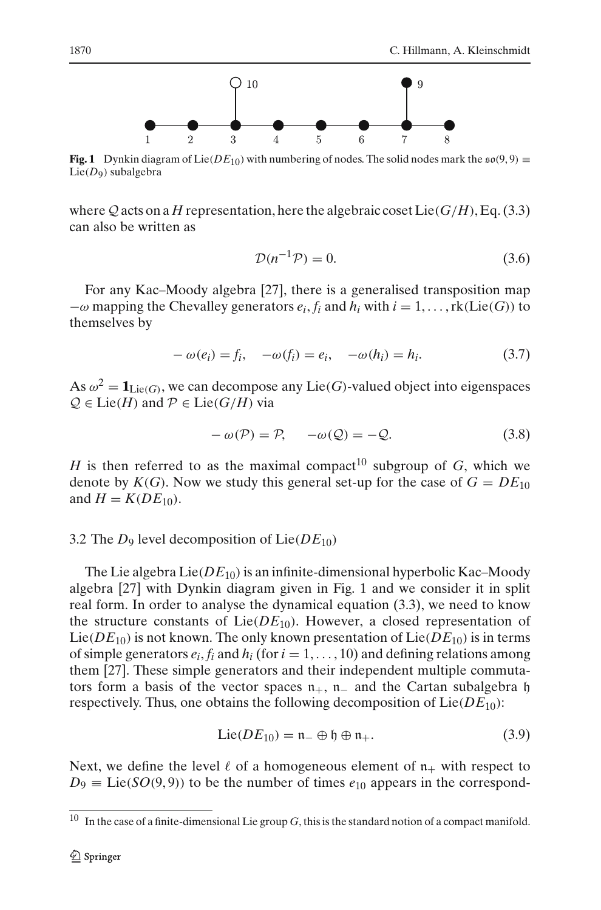

<span id="page-9-1"></span>**Fig. 1** Dynkin diagram of Lie( $DE_{10}$ ) with numbering of nodes. The solid nodes mark the  $\mathfrak{so}(9,9)$  ≡ Lie(*D*9) subalgebra

where  $Q$  acts on a *H* representation, here the algebraic coset Lie( $G/H$ ), Eq. [\(3.3\)](#page-8-5) can also be written as

$$
\mathcal{D}(n^{-1}\mathcal{P}) = 0.\tag{3.6}
$$

For any Kac–Moody algebra [\[27](#page-24-10)], there is a generalised transposition map  $-\omega$  mapping the Chevalley generators  $e_i$ ,  $f_i$  and  $h_i$  with  $i = 1, \ldots, \text{rk}(\text{Lie}(G))$  to themselves by

$$
-\omega(e_i) = f_i, \quad -\omega(f_i) = e_i, \quad -\omega(h_i) = h_i.
$$
\n(3.7)

As  $\omega^2 = \mathbf{1}_{\text{Lie}(G)}$ , we can decompose any Lie(*G*)-valued object into eigenspaces  $Q \in \text{Lie}(H)$  and  $P \in \text{Lie}(G/H)$  via

$$
-\omega(\mathcal{P}) = \mathcal{P}, \quad -\omega(\mathcal{Q}) = -\mathcal{Q}.\tag{3.8}
$$

*H* is then referred to as the maximal compact<sup>[10](#page-9-0)</sup> subgroup of *G*, which we denote by  $K(G)$ . Now we study this general set-up for the case of  $G = DE_{10}$ and  $H = K(DE_{10})$ .

## <span id="page-9-2"></span>3.2 The *D*<sup>9</sup> level decomposition of Lie(*DE*10)

The Lie algebra  $Lie(DE_{10})$  is an infinite-dimensional hyperbolic Kac–Moody algebra [\[27\]](#page-24-10) with Dynkin diagram given in Fig. [1](#page-9-1) and we consider it in split real form. In order to analyse the dynamical equation [\(3.3\)](#page-8-5), we need to know the structure constants of  $Lie(DE_{10})$ . However, a closed representation of Lie( $DE_{10}$ ) is not known. The only known presentation of Lie( $DE_{10}$ ) is in terms of simple generators  $e_i$ ,  $f_i$  and  $h_i$  (for  $i = 1, \ldots, 10$ ) and defining relations among them [\[27](#page-24-10)]. These simple generators and their independent multiple commutators form a basis of the vector spaces  $n_{+}$ ,  $n_{-}$  and the Cartan subalgebra h respectively. Thus, one obtains the following decomposition of  $Lie(DE_{10})$ :

$$
\text{Lie}(DE_{10}) = \mathfrak{n}_- \oplus \mathfrak{h} \oplus \mathfrak{n}_+.
$$
 (3.9)

Next, we define the level  $\ell$  of a homogeneous element of  $n_+$  with respect to  $D_9 \equiv \text{Lie}(SO(9, 9))$  to be the number of times  $e_{10}$  appears in the correspond-

<span id="page-9-0"></span> $10$  In the case of a finite-dimensional Lie group  $G$ , this is the standard notion of a compact manifold.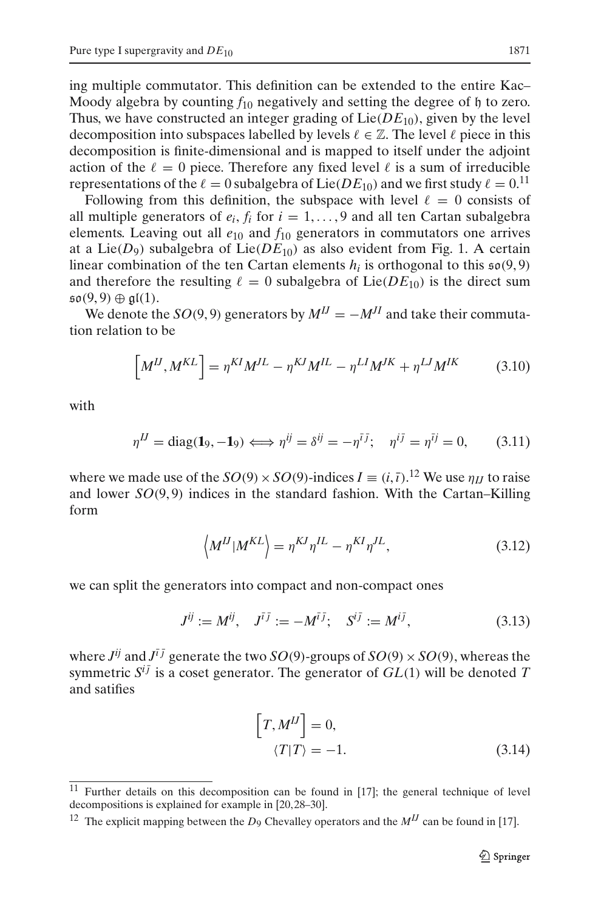ing multiple commutator. This definition can be extended to the entire Kac– Moody algebra by counting  $f_{10}$  negatively and setting the degree of h to zero. Thus, we have constructed an integer grading of  $Lie(DE_{10})$ , given by the level decomposition into subspaces labelled by levels  $\ell \in \mathbb{Z}$ . The level  $\ell$  piece in this decomposition is finite-dimensional and is mapped to itself under the adjoint action of the  $\ell = 0$  piece. Therefore any fixed level  $\ell$  is a sum of irreducible representations of the  $\ell = 0$  subalgebra of Lie(*DE*<sub>10</sub>) and we first study  $\ell = 0$ .<sup>[11](#page-10-0)</sup>

Following from this definition, the subspace with level  $\ell = 0$  consists of all multiple generators of  $e_i$ ,  $f_i$  for  $i = 1, \ldots, 9$  and all ten Cartan subalgebra elements. Leaving out all *e*<sup>10</sup> and *f*<sup>10</sup> generators in commutators one arrives at a Lie( $D_9$ ) subalgebra of Lie( $DE_{10}$ ) as also evident from Fig. [1.](#page-9-1) A certain linear combination of the ten Cartan elements  $h_i$  is orthogonal to this  $\mathfrak{so}(9,9)$ and therefore the resulting  $\ell = 0$  subalgebra of Lie(*DE*<sub>10</sub>) is the direct sum  $\mathfrak{so}(9,9) \oplus \mathfrak{gl}(1).$ 

We denote the *SO*(9,9) generators by  $M^{IJ} = -M^{JI}$  and take their commutation relation to be

$$
\left[M^{IJ}, M^{KL}\right] = \eta^{KI} M^{JL} - \eta^{KJ} M^{IL} - \eta^{LI} M^{JK} + \eta^{LJ} M^{IK} \tag{3.10}
$$

with

$$
\eta^{IJ} = \text{diag}(\mathbf{1}_9, -\mathbf{1}_9) \Longleftrightarrow \eta^{ij} = \delta^{ij} = -\eta^{ij}; \quad \eta^{ij} = \eta^{ij} = 0, \quad (3.11)
$$

where we made use of the  $SO(9) \times SO(9)$ -indices  $I \equiv (i, \bar{i})$ .<sup>[12](#page-10-1)</sup> We use  $\eta_{IJ}$  to raise and lower  $SO(9, 9)$  indices in the standard fashion. With the Cartan–Killing form

$$
\left\langle M^{IJ} | M^{KL} \right\rangle = \eta^{KI} \eta^{IL} - \eta^{KI} \eta^{JL},\tag{3.12}
$$

we can split the generators into compact and non-compact ones

$$
J^{ij} := M^{ij}, \quad J^{\bar{i}\bar{j}} := -M^{\bar{i}\bar{j}}; \quad S^{i\bar{j}} := M^{i\bar{j}}, \tag{3.13}
$$

<span id="page-10-2"></span>where  $J^{ij}$  and  $J^{i\bar{j}}$  generate the two *SO*(9)-groups of *SO*(9) × *SO*(9), whereas the symmetric  $S^{i\bar{j}}$  is a coset generator. The generator of  $GL(1)$  will be denoted *T* and satifies

$$
\[T, M^{IJ}\] = 0,
$$
  

$$
\langle T|T\rangle = -1.
$$
 (3.14)

<sup>&</sup>lt;sup>11</sup> Further details on this decomposition can be found in [\[17](#page-24-0)]; the general technique of level decompositions is explained for example in [\[20](#page-24-3)[, 28](#page-24-11)[–30](#page-24-12)].

<span id="page-10-1"></span><span id="page-10-0"></span><sup>&</sup>lt;sup>12</sup> The explicit mapping between the  $D_9$  Chevalley operators and the  $M<sup>JJ</sup>$  can be found in [\[17](#page-24-0)].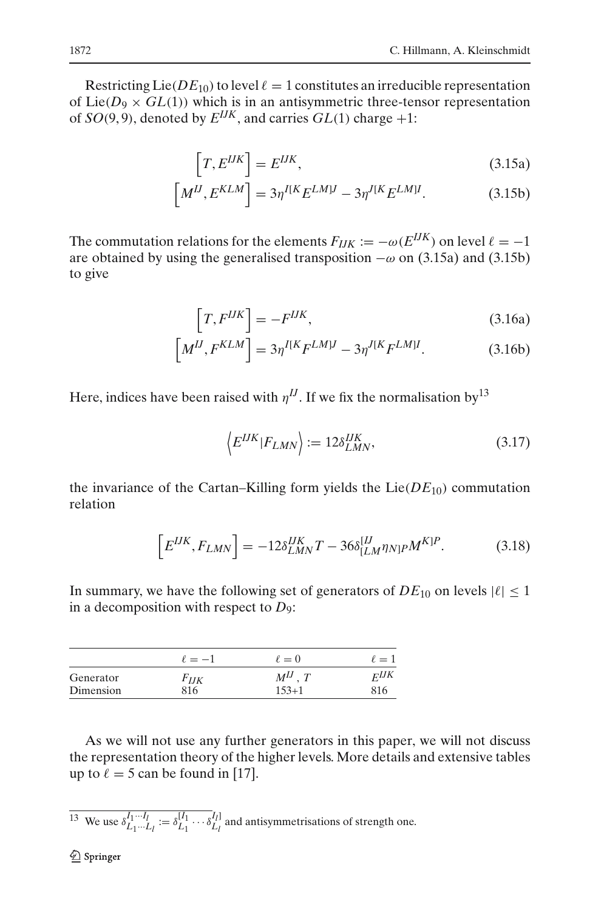Restricting Lie( $DE_{10}$ ) to level  $\ell = 1$  constitutes an irreducible representation of Lie( $D_9 \times GL(1)$ ) which is in an antisymmetric three-tensor representation of  $SO(9, 9)$ , denoted by  $E^{IJK}$ , and carries  $GL(1)$  charge  $+1$ :

$$
\[T, E^{IJK}\] = E^{IJK},\tag{3.15a}
$$

$$
\left[M^{IJ}, E^{KLM}\right] = 3\eta^{I[K} E^{LMIJ} - 3\eta^{J[K} E^{LMI}.
$$
 (3.15b)

<span id="page-11-0"></span>The commutation relations for the elements  $F_{IJK} := -\omega(E^{IJK})$  on level  $\ell = -1$ are obtained by using the generalised transposition  $-\omega$  on [\(3.15a\)](#page-11-0) and [\(3.15b\)](#page-11-0) to give

$$
\[T, F^{IJK}\] = -F^{IJK},\tag{3.16a}
$$

$$
\left[M^{IJ}, F^{KLM}\right] = 3\eta^{I[K}F^{LM]J} - 3\eta^{J[K}F^{LM]I}.\tag{3.16b}
$$

Here, indices have been raised with  $\eta^{IJ}$ . If we fix the normalisation by<sup>13</sup>

$$
\langle E^{IJK}|F_{LMN}\rangle := 12\delta_{LMN}^{IJK},\tag{3.17}
$$

the invariance of the Cartan–Killing form yields the  $Lie(DE_{10})$  commutation relation

$$
\[E^{IJK}, F_{LMN}\] = -12\delta^{IJK}_{LMN}T - 36\delta^{[IJ}_{[LM}\eta_{N]P}M^{K]P}.\tag{3.18}
$$

In summary, we have the following set of generators of  $DE_{10}$  on levels  $|\ell| \leq 1$ in a decomposition with respect to *D*9:

|           | $\ell = -1$ | $\ell=0$     | $\ell=1$  |
|-----------|-------------|--------------|-----------|
| Generator | $F_{IJK}$   | $M^{IJ}$ . T | $F^{IJK}$ |
| Dimension | 816         | $153 + 1$    | 816       |

As we will not use any further generators in this paper, we will not discuss the representation theory of the higher levels. More details and extensive tables up to  $\ell = 5$  can be found in [\[17\]](#page-24-0).

<span id="page-11-1"></span><sup>13</sup> We use  $\delta_{L_1 \cdots L_l}^{I_1 \cdots I_l} := \delta_{L_1}^{[l_1]} \cdots \delta_{L_l}^{l_l]}$  and antisymmetrisations of strength one.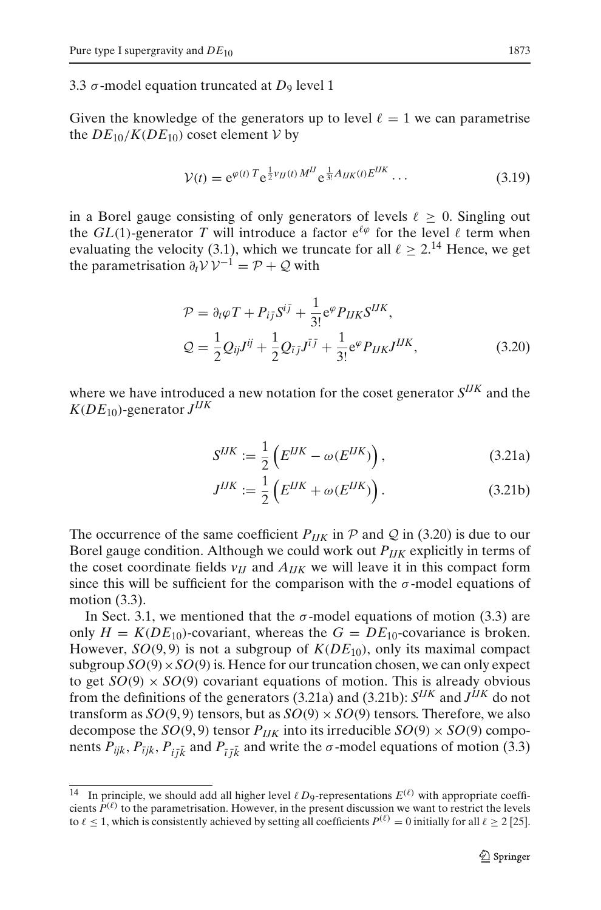3.3  $\sigma$ -model equation truncated at  $D_9$  level 1

Given the knowledge of the generators up to level  $\ell = 1$  we can parametrise the  $DE_{10}/K(DE_{10})$  coset element *V* by

$$
V(t) = e^{\varphi(t) T} e^{\frac{1}{2} \nu_U(t) M^H} e^{\frac{1}{3!} A_{IJK}(t) E^{IJK}} \dots \tag{3.19}
$$

in a Borel gauge consisting of only generators of levels  $\ell > 0$ . Singling out the *GL*(1)-generator *T* will introduce a factor  $e^{\ell \varphi}$  for the level  $\ell$  term when evaluating the velocity [\(3.1\)](#page-8-6), which we truncate for all  $\ell \geq 2$ .<sup>[14](#page-12-0)</sup> Hence, we get the parametrisation  $\partial_t V V^{-1} = \mathcal{P} + \mathcal{Q}$  with

$$
\mathcal{P} = \partial_t \varphi T + P_{i\bar{j}} S^{i\bar{j}} + \frac{1}{3!} e^{\varphi} P_{IJK} S^{IJK},
$$
  
\n
$$
\mathcal{Q} = \frac{1}{2} Q_{ij} J^{ij} + \frac{1}{2} Q_{\bar{i}j} J^{\bar{i}j} + \frac{1}{3!} e^{\varphi} P_{IJK} J^{IJK},
$$
\n(3.20)

<span id="page-12-2"></span><span id="page-12-1"></span>where we have introduced a new notation for the coset generator *SIJK* and the  $K(DE_{10})$ -generator  $J^{IJK}$ 

$$
S^{IJK} := \frac{1}{2} \left( E^{IJK} - \omega(E^{IJK}) \right), \tag{3.21a}
$$

$$
J^{IJK} := \frac{1}{2} \left( E^{IJK} + \omega(E^{IJK}) \right). \tag{3.21b}
$$

The occurrence of the same coefficient  $P_{IJK}$  in  $\mathcal P$  and  $\mathcal Q$  in [\(3.20\)](#page-12-1) is due to our Borel gauge condition. Although we could work out *PIJK* explicitly in terms of the coset coordinate fields  $v_{IJ}$  and  $A_{IJK}$  we will leave it in this compact form since this will be sufficient for the comparison with the  $\sigma$ -model equations of motion [\(3.3\)](#page-8-5).

In Sect. [3.1,](#page-8-7) we mentioned that the  $\sigma$ -model equations of motion [\(3.3\)](#page-8-5) are only  $H = K(DE_{10})$ -covariant, whereas the  $G = DE_{10}$ -covariance is broken. However,  $SO(9, 9)$  is not a subgroup of  $K(DE_{10})$ , only its maximal compact subgroup  $SO(9) \times SO(9)$  is. Hence for our truncation chosen, we can only expect to get  $SO(9) \times SO(9)$  covariant equations of motion. This is already obvious from the definitions of the generators [\(3.21a\)](#page-12-2) and [\(3.21b\)](#page-12-2): *SIJK* and *JIJK* do not transform as  $SO(9, 9)$  tensors, but as  $SO(9) \times SO(9)$  tensors. Therefore, we also decompose the  $SO(9, 9)$  tensor  $P_{IJK}$  into its irreducible  $SO(9) \times SO(9)$  components  $P_{ijk}$ ,  $P_{\bar{i}jk}$ ,  $P_{i\bar{j}k}$  and  $P_{\bar{i}j\bar{k}}$  and write the  $\sigma$ -model equations of motion [\(3.3\)](#page-8-5)

<span id="page-12-0"></span> $\overline{14}$  In principle, we should add all higher level  $\ell D_9$ -representations  $E^{(\ell)}$  with appropriate coefficients  $P^{(\ell)}$  to the parametrisation. However, in the present discussion we want to restrict the levels to  $\ell \le 1$ , which is consistently achieved by setting all coefficients  $P^{(\ell)} = 0$  initially for all  $\ell \ge 2$  [\[25](#page-24-8)].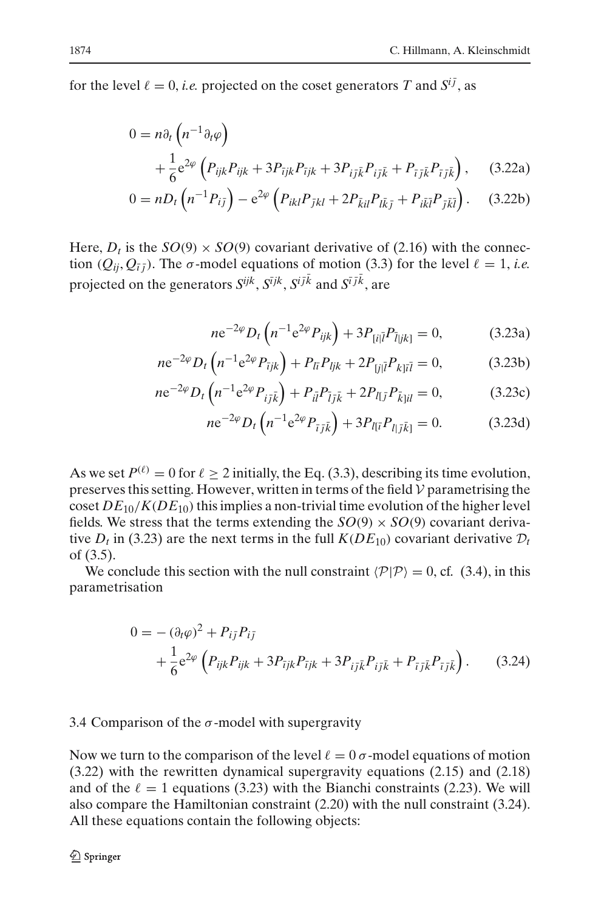<span id="page-13-4"></span>for the level  $\ell = 0$ , *i.e.* projected on the coset generators T and  $S^{i\bar{j}}$ , as

<span id="page-13-1"></span>
$$
0 = n\partial_t \left( n^{-1} \partial_t \varphi \right)
$$
  
+  $\frac{1}{6} e^{2\varphi} \left( P_{ijk} P_{ijk} + 3P_{ijk} P_{ijk} + 3P_{ij\bar{k}} P_{ij\bar{k}} + P_{\bar{i}j\bar{k}} P_{i\bar{j}\bar{k}} \right)$ , (3.22a)

$$
0 = nD_t \left( n^{-1} P_{i\bar{j}} \right) - e^{2\varphi} \left( P_{ikl} P_{\bar{j}kl} + 2P_{\bar{k}il} P_{l\bar{k}\bar{j}} + P_{i\bar{k}\bar{l}} P_{\bar{j}\bar{k}\bar{l}} \right). \tag{3.22b}
$$

Here,  $D_t$  is the  $SO(9) \times SO(9)$  covariant derivative of [\(2.16\)](#page-6-2) with the connection ( $Q_{ii}$ ,  $Q_{\bar{i}}$ ). The  $\sigma$ -model equations of motion [\(3.3\)](#page-8-5) for the level  $\ell = 1$ , *i.e.* projected on the generators  $S^{ijk}$ ,  $S^{ijk}$ ,  $S^{ijk}$  and  $S^{i\bar{j}k}$ , are

<span id="page-13-0"></span>
$$
ne^{-2\varphi}D_t\left(n^{-1}e^{2\varphi}P_{ijk}\right) + 3P_{[i|\bar{l}}P_{\bar{l}|jk]} = 0, \tag{3.23a}
$$

$$
ne^{-2\varphi}D_t\left(n^{-1}e^{2\varphi}P_{ijk}\right) + P_{l\bar{i}}P_{ljk} + 2P_{[j|\bar{i}}P_{k]\bar{i}\bar{i}} = 0, \qquad (3.23b)
$$

$$
ne^{-2\varphi}D_t\left(n^{-1}e^{2\varphi}P_{i\bar{j}\bar{k}}\right) + P_{i\bar{l}}P_{\bar{l}j\bar{k}} + 2P_{l\bar{l}j}P_{\bar{k}|il} = 0, \qquad (3.23c)
$$

$$
ne^{-2\varphi}D_t\left(n^{-1}e^{2\varphi}P_{\bar{i}\bar{j}\bar{k}}\right) + 3P_{l[\bar{i}}P_{l|\bar{j}\bar{k}]} = 0. \tag{3.23d}
$$

As we set  $P^{(\ell)} = 0$  for  $\ell \ge 2$  initially, the Eq. [\(3.3\)](#page-8-5), describing its time evolution, preserves this setting. However, written in terms of the field *V* parametrising the coset  $DE_{10}/K(DE_{10})$  this implies a non-trivial time evolution of the higher level fields. We stress that the terms extending the  $SO(9) \times SO(9)$  covariant derivative  $D_t$  in [\(3.23\)](#page-13-0) are the next terms in the full  $K(DE_{10})$  covariant derivative  $D_t$ of [\(3.5\)](#page-8-8).

<span id="page-13-2"></span>We conclude this section with the null constraint  $\langle P|P\rangle = 0$ , cf. [\(3.4\)](#page-8-9), in this parametrisation

$$
0 = -(\partial_t \varphi)^2 + P_{ij} P_{ij} + \frac{1}{6} e^{2\varphi} \left( P_{ijk} P_{ijk} + 3P_{ijk} P_{ijk} + 3P_{ij\bar{k}} P_{ij\bar{k}} + P_{i\bar{j}\bar{k}} P_{i\bar{j}\bar{k}} \right).
$$
 (3.24)

## <span id="page-13-3"></span>3.4 Comparison of the  $\sigma$ -model with supergravity

Now we turn to the comparison of the level  $\ell = 0$   $\sigma$ -model equations of motion [\(3.22\)](#page-13-1) with the rewritten dynamical supergravity equations [\(2.15\)](#page-6-1) and [\(2.18\)](#page-6-3) and of the  $\ell = 1$  equations [\(3.23\)](#page-13-0) with the Bianchi constraints [\(2.23\)](#page-7-2). We will also compare the Hamiltonian constraint [\(2.20\)](#page-7-3) with the null constraint [\(3.24\)](#page-13-2). All these equations contain the following objects: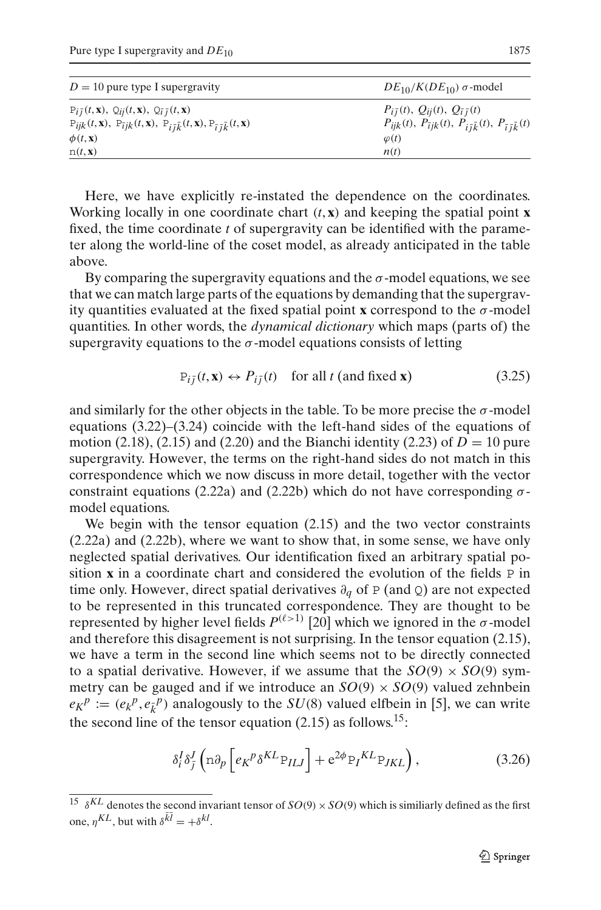| $D = 10$ pure type I supergravity                                                                                                    | $DE_{10}/K(DE_{10})$ $\sigma$ -model                                                          |  |
|--------------------------------------------------------------------------------------------------------------------------------------|-----------------------------------------------------------------------------------------------|--|
| $P_{i\bar{j}}(t, \mathbf{x}), Q_{i\bar{j}}(t, \mathbf{x}), Q_{\bar{i}\bar{j}}(t, \mathbf{x})$                                        | $P_{i\bar{i}}(t), Q_{i\bar{i}}(t), Q_{\bar{i}\bar{j}}(t)$                                     |  |
| $P_{ijk}(t, \mathbf{x}), P_{\bar{i}jk}(t, \mathbf{x}), P_{i\bar{i}\bar{k}}(t, \mathbf{x}), P_{\bar{i}\bar{j}\bar{k}}(t, \mathbf{x})$ | $P_{ijk}(t)$ , $P_{\bar{i}jk}(t)$ , $P_{i\bar{i}\bar{k}}(t)$ , $P_{\bar{i}\bar{j}\bar{k}}(t)$ |  |
| $\phi(t, \mathbf{x})$                                                                                                                | $\varphi(t)$                                                                                  |  |
| n(t, x)                                                                                                                              | n(t)                                                                                          |  |

Here, we have explicitly re-instated the dependence on the coordinates. Working locally in one coordinate chart  $(t, \mathbf{x})$  and keeping the spatial point **x** fixed, the time coordinate *t* of supergravity can be identified with the parameter along the world-line of the coset model, as already anticipated in the table above.

By comparing the supergravity equations and the  $\sigma$ -model equations, we see that we can match large parts of the equations by demanding that the supergravity quantities evaluated at the fixed spatial point **x** correspond to the  $\sigma$ -model quantities. In other words, the *dynamical dictionary* which maps (parts of) the supergravity equations to the  $\sigma$ -model equations consists of letting

$$
P_{i\bar{j}}(t, \mathbf{x}) \leftrightarrow P_{i\bar{j}}(t) \quad \text{for all } t \text{ (and fixed } \mathbf{x}) \tag{3.25}
$$

and similarly for the other objects in the table. To be more precise the  $\sigma$ -model equations [\(3.22\)](#page-13-1)–[\(3.24\)](#page-13-2) coincide with the left-hand sides of the equations of motion [\(2.18\)](#page-6-3), [\(2.15\)](#page-6-1) and [\(2.20\)](#page-7-3) and the Bianchi identity [\(2.23\)](#page-7-2) of  $D = 10$  pure supergravity. However, the terms on the right-hand sides do not match in this correspondence which we now discuss in more detail, together with the vector constraint equations [\(2.22a\)](#page-7-4) and [\(2.22b\)](#page-7-4) which do not have corresponding  $\sigma$ model equations.

We begin with the tensor equation [\(2.15\)](#page-6-1) and the two vector constraints [\(2.22a\)](#page-7-4) and [\(2.22b\)](#page-7-4), where we want to show that, in some sense, we have only neglected spatial derivatives. Our identification fixed an arbitrary spatial position **x** in a coordinate chart and considered the evolution of the fields P in time only. However, direct spatial derivatives ∂*<sup>q</sup>* of P (and Q) are not expected to be represented in this truncated correspondence. They are thought to be represented by higher level fields  $P^{(\ell>1)}$  [\[20\]](#page-24-3) which we ignored in the σ-model and therefore this disagreement is not surprising. In the tensor equation [\(2.15\)](#page-6-1), we have a term in the second line which seems not to be directly connected to a spatial derivative. However, if we assume that the  $SO(9) \times SO(9)$  symmetry can be gauged and if we introduce an  $SO(9) \times SO(9)$  valued zehnbein  $e_K^p := (e_K^p, e_{\overline{k}}^p)$  analogously to the *SU*(8) valued elfbein in [\[5\]](#page-23-12), we can write the second line of the tensor equation  $(2.15)$  as follows.<sup>[15](#page-14-0)</sup>:

$$
\delta_i^I \delta_j^I \left( \text{d} \partial_p \left[ e_K^{\ p} \delta^{KL} \mathbf{P}_{ILJ} \right] + \mathbf{e}^{2\phi} \mathbf{P}_I^{KL} \mathbf{P}_{JKL} \right), \tag{3.26}
$$

<span id="page-14-0"></span><sup>&</sup>lt;sup>15</sup>  $\delta^{KL}$  denotes the second invariant tensor of *SO*(9) × *SO*(9) which is similiarly defined as the first  $\text{one, } \eta^{KL}$ , but with  $\delta^{kl} = +\delta^{kl}$ .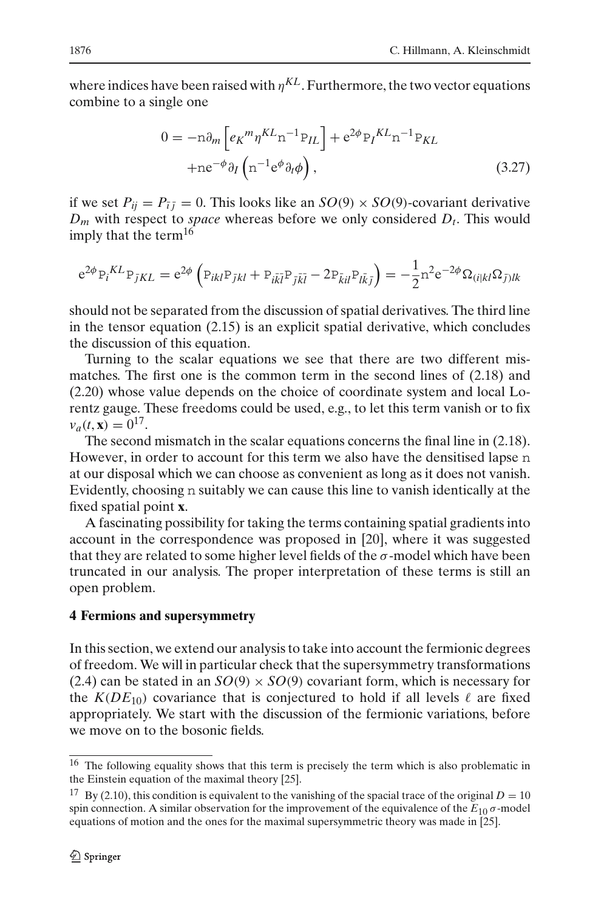where indices have been raised with  $\eta^{KL}$ . Furthermore, the two vector equations combine to a single one

$$
0 = -n\partial_m \left[ e_K{}^m \eta^{KL} n^{-1} P_{IL} \right] + e^{2\phi} P_I{}^{KL} n^{-1} P_{KL}
$$
  
+ne<sup>- $\phi$</sup>   $\partial_I \left( n^{-1} e^{\phi} \partial_t \phi \right)$ , (3.27)

if we set  $P_{ij} = P_{\bar{i}\bar{j}} = 0$ . This looks like an  $SO(9) \times SO(9)$ -covariant derivative  $D_m$  with respect to *space* whereas before we only considered  $D_t$ . This would imply that the term<sup>16</sup>

$$
e^{2\phi} P_i{}^{KL} P_{\bar{j}KL} = e^{2\phi} \left( P_{ikl} P_{\bar{j}kl} + P_{i\bar{k}\bar{l}} P_{\bar{j}\bar{k}\bar{l}} - 2P_{\bar{k}il} P_{l\bar{k}\bar{j}} \right) = -\frac{1}{2} n^2 e^{-2\phi} \Omega_{(i|kl} \Omega_{\bar{j})lk}
$$

should not be separated from the discussion of spatial derivatives. The third line in the tensor equation [\(2.15\)](#page-6-1) is an explicit spatial derivative, which concludes the discussion of this equation.

Turning to the scalar equations we see that there are two different mismatches. The first one is the common term in the second lines of [\(2.18\)](#page-6-3) and [\(2.20\)](#page-7-3) whose value depends on the choice of coordinate system and local Lorentz gauge. These freedoms could be used, e.g., to let this term vanish or to fix  $v_a(t, \mathbf{x}) = 0^{17}$ .

The second mismatch in the scalar equations concerns the final line in [\(2.18\)](#page-6-3). However, in order to account for this term we also have the densitised lapse n at our disposal which we can choose as convenient as long as it does not vanish. Evidently, choosing n suitably we can cause this line to vanish identically at the fixed spatial point **x**.

A fascinating possibility for taking the terms containing spatial gradients into account in the correspondence was proposed in [\[20\]](#page-24-3), where it was suggested that they are related to some higher level fields of the  $\sigma$ -model which have been truncated in our analysis. The proper interpretation of these terms is still an open problem.

#### <span id="page-15-0"></span>**4 Fermions and supersymmetry**

In this section, we extend our analysis to take into account the fermionic degrees of freedom. We will in particular check that the supersymmetry transformations [\(2.4\)](#page-3-5) can be stated in an  $SO(9) \times SO(9)$  covariant form, which is necessary for the  $K(DE_{10})$  covariance that is conjectured to hold if all levels  $\ell$  are fixed appropriately. We start with the discussion of the fermionic variations, before we move on to the bosonic fields.

<sup>&</sup>lt;sup>16</sup> The following equality shows that this term is precisely the term which is also problematic in the Einstein equation of the maximal theory [\[25](#page-24-8)].

<span id="page-15-2"></span><span id="page-15-1"></span><sup>&</sup>lt;sup>17</sup> By [\(2.10\)](#page-4-4), this condition is equivalent to the vanishing of the spacial trace of the original  $D = 10$ spin connection. A similar observation for the improvement of the equivalence of the *E*<sup>10</sup> σ-model equations of motion and the ones for the maximal supersymmetric theory was made in [\[25\]](#page-24-8).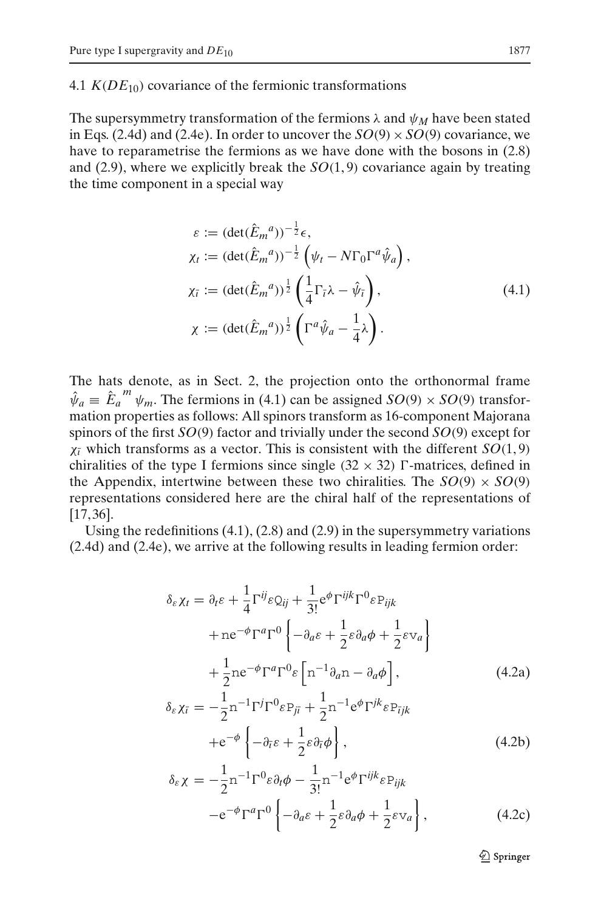<span id="page-16-3"></span>4.1  $K(DE_{10})$  covariance of the fermionic transformations

The supersymmetry transformation of the fermions  $\lambda$  and  $\psi_M$  have been stated in Eqs. [\(2.4d\)](#page-3-6) and [\(2.4e\)](#page-3-6). In order to uncover the  $SO(9) \times SO(9)$  covariance, we have to reparametrise the fermions as we have done with the bosons in  $(2.8)$ and [\(2.9\)](#page-4-2), where we explicitly break the *SO*(1, 9) covariance again by treating the time component in a special way

<span id="page-16-0"></span>
$$
\varepsilon := (\det(\hat{E}_m{}^a))^{-\frac{1}{2}} \epsilon,
$$
\n
$$
\chi_t := (\det(\hat{E}_m{}^a))^{-\frac{1}{2}} \left( \psi_t - N\Gamma_0 \Gamma^a \hat{\psi}_a \right),
$$
\n
$$
\chi_{\bar{t}} := (\det(\hat{E}_m{}^a))^{\frac{1}{2}} \left( \frac{1}{4} \Gamma_{\bar{t}} \lambda - \hat{\psi}_{\bar{t}} \right),
$$
\n
$$
\chi := (\det(\hat{E}_m{}^a))^{\frac{1}{2}} \left( \Gamma^a \hat{\psi}_a - \frac{1}{4} \lambda \right).
$$
\n(4.1)

The hats denote, as in Sect. [2,](#page-2-0) the projection onto the orthonormal frame  $\hat{\psi}_a \equiv \hat{E}_a^m \psi_m$ . The fermions in [\(4.1\)](#page-16-0) can be assigned *SO*(9) × *SO*(9) transformation properties as follows: All spinors transform as 16-component Majorana spinors of the first *SO*(9) factor and trivially under the second *SO*(9) except for  $\chi_{\bar{i}}$  which transforms as a vector. This is consistent with the different *SO*(1,9) chiralities of the type I fermions since single  $(32 \times 32)$   $\Gamma$ -matrices, defined in the Appendix, intertwine between these two chiralities. The  $SO(9) \times SO(9)$ representations considered here are the chiral half of the representations of [\[17](#page-24-0), [36](#page-24-13)].

<span id="page-16-1"></span>Using the redefinitions  $(4.1)$ ,  $(2.8)$  and  $(2.9)$  in the supersymmetry variations [\(2.4d\)](#page-3-6) and [\(2.4e\)](#page-3-6), we arrive at the following results in leading fermion order:

<span id="page-16-2"></span>
$$
\delta_{\varepsilon} \chi_{t} = \partial_{t} \varepsilon + \frac{1}{4} \Gamma^{ij} \varepsilon Q_{ij} + \frac{1}{3!} e^{\phi} \Gamma^{ijk} \Gamma^{0} \varepsilon P_{ijk} \n+ n e^{-\phi} \Gamma^{a} \Gamma^{0} \left\{ -\partial_{a} \varepsilon + \frac{1}{2} \varepsilon \partial_{a} \phi + \frac{1}{2} \varepsilon \nu_{a} \right\} \n+ \frac{1}{2} n e^{-\phi} \Gamma^{a} \Gamma^{0} \varepsilon \left[ n^{-1} \partial_{a} n - \partial_{a} \phi \right],
$$
\n(4.2a)  
\n
$$
\delta_{\varepsilon} \chi_{\bar{i}} = -\frac{1}{2} n^{-1} \Gamma^{j} \Gamma^{0} \varepsilon P_{j\bar{i}} + \frac{1}{2} n^{-1} e^{\phi} \Gamma^{jk} \varepsilon P_{\bar{i}jk} \n+ e^{-\phi} \left\{ -\partial_{\bar{i}} \varepsilon + \frac{1}{2} \varepsilon \partial_{\bar{i}} \phi \right\},
$$
\n(4.2b)

$$
\delta_{\varepsilon} \chi = -\frac{1}{2} n^{-1} \Gamma^0 \varepsilon \partial_t \phi - \frac{1}{3!} n^{-1} e^{\phi} \Gamma^{ijk} \varepsilon P_{ijk}
$$
  
 
$$
-e^{-\phi} \Gamma^a \Gamma^0 \left\{ -\partial_a \varepsilon + \frac{1}{2} \varepsilon \partial_a \phi + \frac{1}{2} \varepsilon \nu_a \right\},
$$
(4.2c)

 $\mathcal{Q}$  Springer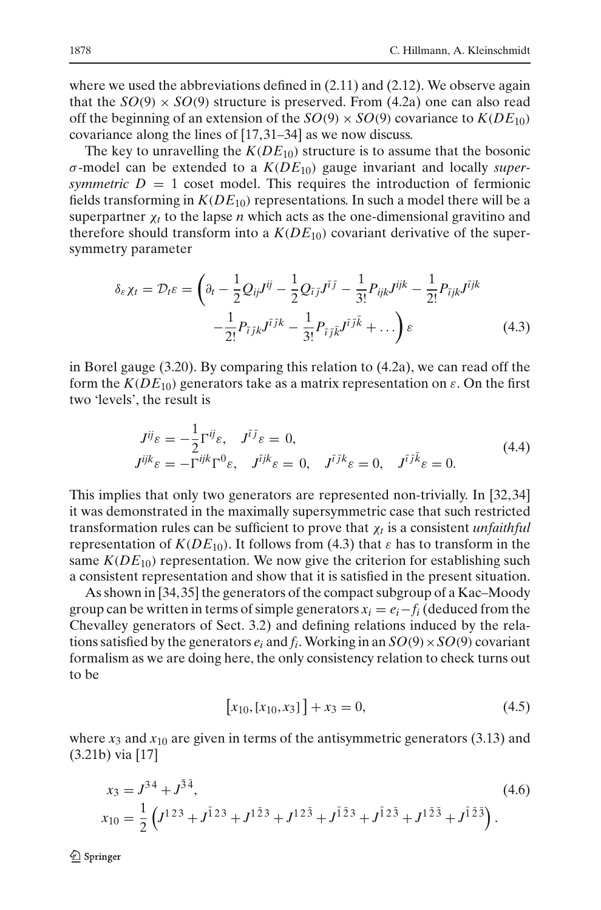where we used the abbreviations defined in  $(2.11)$  and  $(2.12)$ . We observe again that the  $SO(9) \times SO(9)$  structure is preserved. From [\(4.2a\)](#page-16-1) one can also read off the beginning of an extension of the  $SO(9) \times SO(9)$  covariance to  $K(DE_{10})$ covariance along the lines of [\[17](#page-24-0), [31](#page-24-14)[–34\]](#page-24-15) as we now discuss.

The key to unravelling the  $K(DE_{10})$  structure is to assume that the bosonic σ-model can be extended to a *K*(*DE*10) gauge invariant and locally *supersymmetric*  $D = 1$  coset model. This requires the introduction of fermionic fields transforming in  $K(DE_{10})$  representations. In such a model there will be a superpartner  $\chi_t$  to the lapse *n* which acts as the one-dimensional gravitino and therefore should transform into a  $K(DE_{10})$  covariant derivative of the supersymmetry parameter

$$
\delta_{\varepsilon} \chi_{t} = \mathcal{D}_{t} \varepsilon = \left( \partial_{t} - \frac{1}{2} \mathcal{Q}_{ij} J^{ij} - \frac{1}{2} \mathcal{Q}_{\bar{i} \bar{j}} J^{\bar{i} \bar{j}} - \frac{1}{3!} P_{ijk} J^{ijk} - \frac{1}{2!} P_{\bar{i} \bar{j} k} J^{\bar{i} \bar{j} k} - \frac{1}{2!} P_{\bar{i} \bar{j} k} J^{\bar{i} \bar{j} k} - \frac{1}{3!} P_{\bar{i} \bar{j} \bar{k}} J^{\bar{i} \bar{j} \bar{k}} + \dots \right) \varepsilon \tag{4.3}
$$

<span id="page-17-0"></span>in Borel gauge [\(3.20\)](#page-12-1). By comparing this relation to [\(4.2a\)](#page-16-1), we can read off the form the  $K(DE_{10})$  generators take as a matrix representation on  $\varepsilon$ . On the first two 'levels', the result is

$$
J^{ij}\varepsilon = -\frac{1}{2}\Gamma^{ij}\varepsilon, \quad J^{i\bar{j}}\varepsilon = 0,
$$
  
\n
$$
J^{ijk}\varepsilon = -\Gamma^{ijk}\Gamma^{0}\varepsilon, \quad J^{\bar{i}jk}\varepsilon = 0, \quad J^{\bar{i}jk}\varepsilon = 0, \quad J^{\bar{i}j\bar{k}}\varepsilon = 0.
$$
\n(4.4)

<span id="page-17-2"></span>This implies that only two generators are represented non-trivially. In [\[32](#page-24-16), [34\]](#page-24-15) it was demonstrated in the maximally supersymmetric case that such restricted transformation rules can be sufficient to prove that χ*<sup>t</sup>* is a consistent *unfaithful* representation of  $K(DE_{10})$ . It follows from [\(4.3\)](#page-17-0) that  $\varepsilon$  has to transform in the same  $K(DE_{10})$  representation. We now give the criterion for establishing such a consistent representation and show that it is satisfied in the present situation.

As shown in [\[34](#page-24-15)[, 35](#page-24-17)] the generators of the compact subgroup of a Kac–Moody group can be written in terms of simple generators  $x_i = e_i - f_i$  (deduced from the Chevalley generators of Sect. [3.2\)](#page-9-2) and defining relations induced by the relations satisfied by the generators  $e_i$  and  $f_i$ . Working in an  $SO(9) \times SO(9)$  covariant formalism as we are doing here, the only consistency relation to check turns out to be

$$
[x_{10}, [x_{10}, x_3]] + x_3 = 0,
$$
\n(4.5)

<span id="page-17-1"></span>where  $x_3$  and  $x_{10}$  are given in terms of the antisymmetric generators [\(3.13\)](#page-10-2) and [\(3.21b\)](#page-12-2) via [\[17](#page-24-0)]

$$
x_3 = J^{34} + J^{\bar{3}\bar{4}},
$$
  
\n
$$
x_{10} = \frac{1}{2} \left( J^{123} + J^{\bar{1}23} + J^{1\bar{2}3} + J^{12\bar{3}} + J^{\bar{1}\bar{2}3} + J^{\bar{1}2\bar{3}} + J^{1\bar{2}\bar{3}} + J^{\bar{1}\bar{2}\bar{3}} \right).
$$
\n(4.6)

**◯** Springer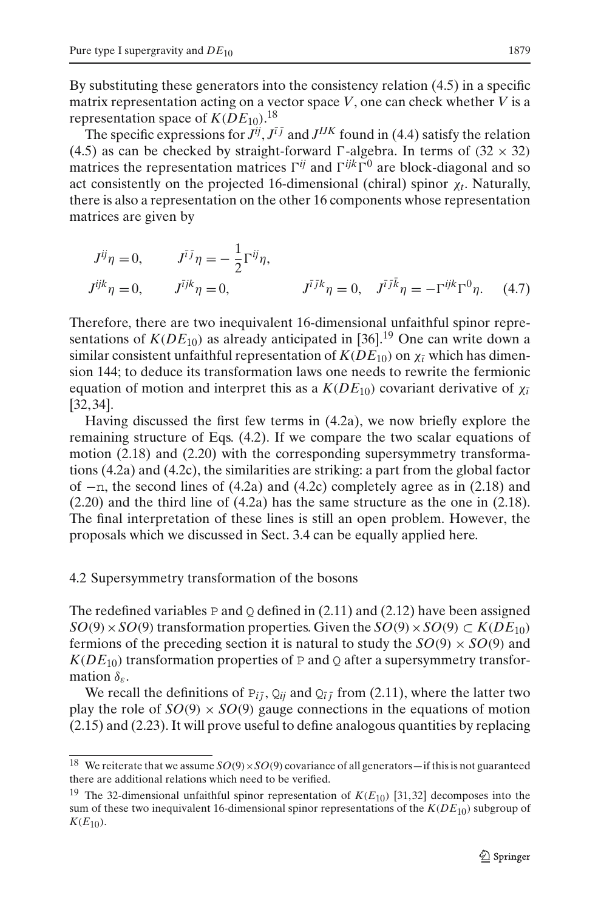By substituting these generators into the consistency relation [\(4.5\)](#page-17-1) in a specific matrix representation acting on a vector space *V*, one can check whether *V* is a representation space of  $K(DE_{10})$ .<sup>[18](#page-18-0)</sup>

The specific expressions for  $J^{ij}$ ,  $J^{i\bar{j}}$  and  $J^{IJK}$  found in [\(4.4\)](#page-17-2) satisfy the relation [\(4.5\)](#page-17-1) as can be checked by straight-forward  $\Gamma$ -algebra. In terms of (32  $\times$  32) matrices the representation matrices  $\Gamma^{ij}$  and  $\Gamma^{ijk}\Gamma^{0}$  are block-diagonal and so act consistently on the projected 16-dimensional (chiral) spinor χ*t*. Naturally, there is also a representation on the other 16 components whose representation matrices are given by

$$
J^{ij}\eta = 0, \t J^{i\bar{j}}\eta = -\frac{1}{2}\Gamma^{ij}\eta, J^{ijk}\eta = 0, \t J^{\bar{i}jk}\eta = 0, \t J^{\bar{i}\bar{j}k}\eta = -\Gamma^{ijk}\Gamma^{0}\eta.
$$
 (4.7)

Therefore, there are two inequivalent 16-dimensional unfaithful spinor representations of  $K(DE_{10})$  as already anticipated in [\[36](#page-24-13)].<sup>[19](#page-18-1)</sup> One can write down a similar consistent unfaithful representation of  $K(DE_{10})$  on  $\chi_{\bar{i}}$  which has dimension 144; to deduce its transformation laws one needs to rewrite the fermionic equation of motion and interpret this as a  $K(DE_{10})$  covariant derivative of  $\chi_{\bar{i}}$ [\[32](#page-24-16), [34](#page-24-15)].

Having discussed the first few terms in [\(4.2a\)](#page-16-1), we now briefly explore the remaining structure of Eqs. [\(4.2\)](#page-16-2). If we compare the two scalar equations of motion [\(2.18\)](#page-6-3) and [\(2.20\)](#page-7-3) with the corresponding supersymmetry transformations [\(4.2a\)](#page-16-1) and [\(4.2c\)](#page-16-1), the similarities are striking: a part from the global factor of −n, the second lines of [\(4.2a\)](#page-16-1) and [\(4.2c\)](#page-16-1) completely agree as in [\(2.18\)](#page-6-3) and [\(2.20\)](#page-7-3) and the third line of [\(4.2a\)](#page-16-1) has the same structure as the one in [\(2.18\)](#page-6-3). The final interpretation of these lines is still an open problem. However, the proposals which we discussed in Sect. [3.4](#page-13-3) can be equally applied here.

# 4.2 Supersymmetry transformation of the bosons

The redefined variables P and Q defined in  $(2.11)$  and  $(2.12)$  have been assigned *SO*(9) × *SO*(9) transformation properties. Given the *SO*(9) × *SO*(9) ⊂ *K*(*DE*<sub>10</sub>) fermions of the preceding section it is natural to study the  $SO(9) \times SO(9)$  and  $K(DE_{10})$  transformation properties of P and Q after a supersymmetry transformation  $\delta_{\varepsilon}$ .

We recall the definitions of  $P_{i\bar{i}}, Q_{i\bar{i}}$  and  $Q_{\bar{i}}$  from [\(2.11\)](#page-5-0), where the latter two play the role of  $SO(9) \times SO(9)$  gauge connections in the equations of motion [\(2.15\)](#page-6-1) and [\(2.23\)](#page-7-2). It will prove useful to define analogous quantities by replacing

<sup>&</sup>lt;sup>18</sup> We reiterate that we assume  $SO(9) \times SO(9)$  covariance of all generators—if this is not guaranteed there are additional relations which need to be verified.

<span id="page-18-1"></span><span id="page-18-0"></span><sup>&</sup>lt;sup>19</sup> The 32-dimensional unfaithful spinor representation of  $K(E_{10})$  [\[31](#page-24-14),32] decomposes into the sum of these two inequivalent 16-dimensional spinor representations of the *K*(*DE*10) subgroup of  $K(E_{10})$ .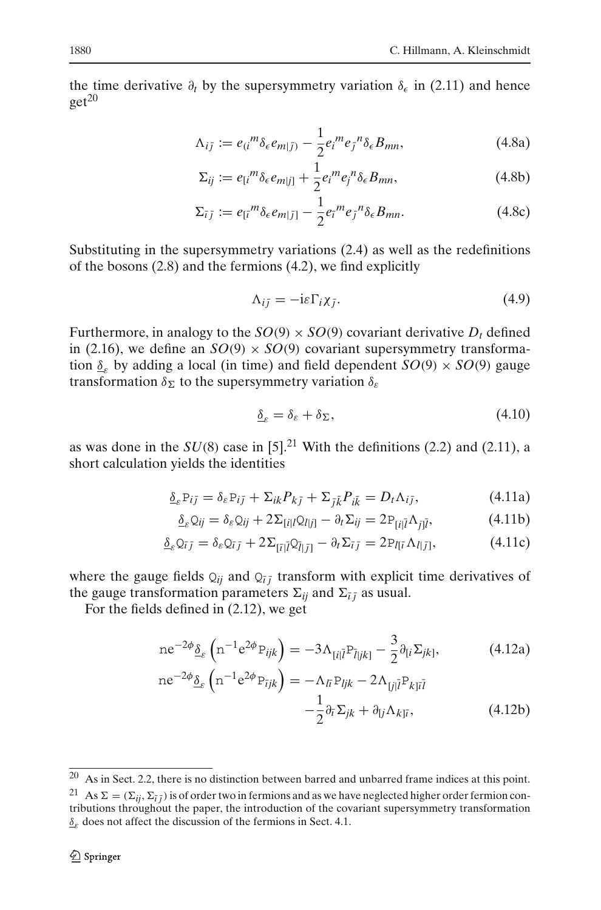the time derivative  $\partial_t$  by the supersymmetry variation  $\delta_{\epsilon}$  in [\(2.11\)](#page-5-0) and hence  $get^{20}$  $get^{20}$  $get^{20}$ 

$$
\Lambda_{i\bar{j}} := e_{(i}{}^{m} \delta_{\epsilon} e_{m|\bar{j})} - \frac{1}{2} e_{i}{}^{m} e_{\bar{j}}{}^{n} \delta_{\epsilon} B_{mn}, \qquad (4.8a)
$$

$$
\Sigma_{ij} := e_{[i}{}^{m} \delta_{\epsilon} e_{m|j]} + \frac{1}{2} e_{i}{}^{m} e_{j}{}^{n} \delta_{\epsilon} B_{mn}, \qquad (4.8b)
$$

$$
\Sigma_{\bar{i}\bar{j}} := e_{[\bar{i}}^m \delta_{\epsilon} e_{m|\bar{j}]} - \frac{1}{2} e_{\bar{i}}^m e_{\bar{j}}^n \delta_{\epsilon} B_{mn}.
$$
 (4.8c)

Substituting in the supersymmetry variations [\(2.4\)](#page-3-5) as well as the redefinitions of the bosons [\(2.8\)](#page-4-5) and the fermions [\(4.2\)](#page-16-2), we find explicitly

$$
\Lambda_{i\bar{j}} = -i\varepsilon \Gamma_i \chi_{\bar{j}}.\tag{4.9}
$$

<span id="page-19-3"></span>Furthermore, in analogy to the  $SO(9) \times SO(9)$  covariant derivative  $D_t$  defined in [\(2.16\)](#page-6-2), we define an  $SO(9) \times SO(9)$  covariant supersymmetry transformation  $\delta_{\rm s}$  by adding a local (in time) and field dependent  $SO(9) \times SO(9)$  gauge transformation  $\delta_{\Sigma}$  to the supersymmetry variation  $\delta_{\varepsilon}$ 

$$
\underline{\delta}_{\varepsilon} = \delta_{\varepsilon} + \delta_{\Sigma},\tag{4.10}
$$

as was done in the  $SU(8)$  case in [\[5](#page-23-12)].<sup>[21](#page-19-1)</sup> With the definitions [\(2.2\)](#page-3-2) and [\(2.11\)](#page-5-0), a short calculation yields the identities

<span id="page-19-2"></span>
$$
\underline{\delta}_{\varepsilon} P_{i\bar{j}} = \delta_{\varepsilon} P_{i\bar{j}} + \Sigma_{ik} P_{k\bar{j}} + \Sigma_{\bar{j}\bar{k}} P_{i\bar{k}} = D_t \Lambda_{i\bar{j}}, \tag{4.11a}
$$

$$
\underline{\delta}_{\varepsilon} Q_{ij} = \delta_{\varepsilon} Q_{ij} + 2 \Sigma_{[i|l} Q_{l|j]} - \partial_t \Sigma_{ij} = 2 P_{[i|\bar{l}} \Lambda_{j|\bar{l}}, \tag{4.11b}
$$

$$
\underline{\delta}_{\varepsilon} \mathcal{Q}_{\bar{i}\bar{j}} = \delta_{\varepsilon} \mathcal{Q}_{\bar{i}\bar{j}} + 2 \Sigma_{\left[\bar{i}\right]} \mathcal{Q}_{\bar{i}\left[\bar{j}\right]} - \partial_t \Sigma_{\bar{i}\bar{j}} = 2 P_{I[\bar{i}} \Lambda_{I|\bar{j}]}, \tag{4.11c}
$$

where the gauge fields  $Q_{ij}$  and  $Q_{\bar{i}j}$  transform with explicit time derivatives of the gauge transformation parameters  $\Sigma_{ii}$  and  $\Sigma_{\bar{i} \bar{j}}$  as usual.

For the fields defined in [\(2.12\)](#page-5-1), we get

<span id="page-19-4"></span>
$$
ne^{-2\phi}\underline{\delta}_{\varepsilon}\left(n^{-1}e^{2\phi}P_{ijk}\right)=-3\Lambda_{[i|\bar{l}}P_{\bar{l}|jk]}-\frac{3}{2}\partial_{[i}\Sigma_{jk]},\tag{4.12a}
$$

$$
ne^{-2\phi} \underline{\delta}_{\varepsilon} \left( n^{-1} e^{2\phi} P_{ijk} \right) = -\Lambda_{\bar{l}i} P_{ljk} - 2\Lambda_{\bar{l}j\bar{l}} P_{k\bar{l}i\bar{l}} -\frac{1}{2} \partial_{\bar{l}} \Sigma_{jk} + \partial_{\bar{l}j} \Lambda_{k\bar{l}i},
$$
 (4.12b)

<sup>20</sup> As in Sect. [2.2,](#page-4-0) there is no distinction between barred and unbarred frame indices at this point.

<span id="page-19-1"></span><span id="page-19-0"></span><sup>&</sup>lt;sup>21</sup> As  $\Sigma = (\Sigma_{ii}, \Sigma_{\bar{i}i})$  is of order two in fermions and as we have neglected higher order fermion contributions throughout the paper, the introduction of the covariant supersymmetry transformation  $\delta_{\varepsilon}$  does not affect the discussion of the fermions in Sect. [4.1.](#page-16-3)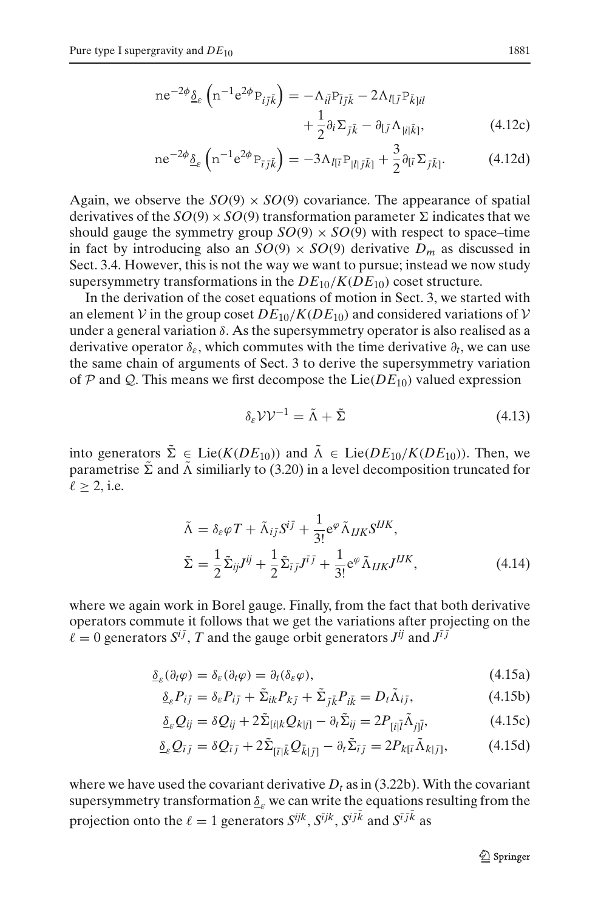$$
ne^{-2\phi} \underline{\delta}_{\varepsilon} \left( n^{-1} e^{2\phi} P_{i\bar{j}\bar{k}} \right) = -\Lambda_{i\bar{l}} P_{\bar{l}j\bar{k}} - 2\Lambda_{l\bar{l}j} P_{\bar{k}}_{j\bar{l}l} + \frac{1}{2} \partial_i \Sigma_{\bar{j}\bar{k}} - \partial_{l\bar{j}} \Lambda_{|i|\bar{k}|}, \tag{4.12c}
$$

$$
ne^{-2\phi}\underline{\delta}_{\varepsilon}\left(n^{-1}e^{2\phi}P_{\bar{i}\bar{j}\bar{k}}\right) = -3\Lambda_{I[\bar{i}}P_{|I|\bar{j}\bar{k}]} + \frac{3}{2}\partial_{[\bar{i}}\Sigma_{\bar{j}\bar{k}]}.
$$
 (4.12d)

Again, we observe the  $SO(9) \times SO(9)$  covariance. The appearance of spatial derivatives of the  $SO(9) \times SO(9)$  transformation parameter  $\Sigma$  indicates that we should gauge the symmetry group  $SO(9) \times SO(9)$  with respect to space–time in fact by introducing also an  $SO(9) \times SO(9)$  derivative  $D_m$  as discussed in Sect. [3.4.](#page-13-3) However, this is not the way we want to pursue; instead we now study supersymmetry transformations in the  $DE_{10}/K(DE_{10})$  coset structure.

In the derivation of the coset equations of motion in Sect. [3,](#page-8-0) we started with an element *V* in the group coset  $DE_{10}/K(DE_{10})$  and considered variations of *V* under a general variation  $\delta$ . As the supersymmetry operator is also realised as a derivative operator  $\delta_{\varepsilon}$ , which commutes with the time derivative  $\partial_t$ , we can use the same chain of arguments of Sect. [3](#page-8-0) to derive the supersymmetry variation of  $P$  and  $Q$ . This means we first decompose the Lie( $DE_{10}$ ) valued expression

$$
\delta_{\varepsilon} \mathcal{V} \mathcal{V}^{-1} = \tilde{\Lambda} + \tilde{\Sigma} \tag{4.13}
$$

<span id="page-20-0"></span>into generators  $\tilde{\Sigma} \in \text{Lie}(K(DE_{10}))$  and  $\tilde{\Lambda} \in \text{Lie}(DE_{10}/K(DE_{10}))$ . Then, we parametrise  $\tilde{\Sigma}$  and  $\tilde{\Lambda}$  similiarly to [\(3.20\)](#page-12-1) in a level decomposition truncated for  $\ell > 2$ , i.e.

$$
\tilde{\Lambda} = \delta_{\varepsilon} \varphi T + \tilde{\Lambda}_{i\bar{j}} S^{i\bar{j}} + \frac{1}{3!} e^{\varphi} \tilde{\Lambda}_{IJK} S^{IJK},
$$
\n
$$
\tilde{\Sigma} = \frac{1}{2} \tilde{\Sigma}_{i\bar{j}} J^{i\bar{j}} + \frac{1}{2} \tilde{\Sigma}_{\bar{i}\bar{j}} J^{\bar{i}\bar{j}} + \frac{1}{3!} e^{\varphi} \tilde{\Lambda}_{IJK} J^{IJK},
$$
\n(4.14)

where we again work in Borel gauge. Finally, from the fact that both derivative operators commute it follows that we get the variations after projecting on the  $\ell = 0$  generators  $S^{i\bar{j}}$ , *T* and the gauge orbit generators  $J^{i\bar{j}}$  and  $J^{\bar{i}j}$ 

$$
\underline{\delta}_{\varepsilon}(\partial_t \varphi) = \delta_{\varepsilon}(\partial_t \varphi) = \partial_t(\delta_{\varepsilon} \varphi),\tag{4.15a}
$$

<span id="page-20-1"></span>
$$
\underline{\delta}_{\varepsilon} P_{i\bar{j}} = \delta_{\varepsilon} P_{i\bar{j}} + \tilde{\Sigma}_{ik} P_{k\bar{j}} + \tilde{\Sigma}_{\bar{j}\bar{k}} P_{i\bar{k}} = D_t \tilde{\Lambda}_{i\bar{j}}, \tag{4.15b}
$$

$$
\underline{\delta}_{\varepsilon} Q_{ij} = \delta Q_{ij} + 2\tilde{\Sigma}_{[i|k} Q_{k|j]} - \partial_t \tilde{\Sigma}_{ij} = 2P_{[i|\tilde{l}} \tilde{\Lambda}_{j|\tilde{l}}, \qquad (4.15c)
$$

<span id="page-20-2"></span>
$$
\underline{\delta}_{\varepsilon} Q_{\bar{i}\bar{j}} = \delta Q_{\bar{i}\bar{j}} + 2\tilde{\Sigma}_{\bar{i}\bar{i}\bar{k}} Q_{\bar{k}\bar{j}\bar{j}} - \partial_{\bar{i}} \tilde{\Sigma}_{\bar{i}\bar{j}} = 2P_{k\bar{i}\bar{i}} \tilde{\Lambda}_{k\bar{j}\bar{j}}, \tag{4.15d}
$$

where we have used the covariant derivative  $D_t$  as in [\(3.22b\)](#page-13-4). With the covariant supersymmetry transformation  $\underline{\delta}_{\varepsilon}$  we can write the equations resulting from the projection onto the  $\ell = 1$  generators  $S^{ijk}$ ,  $S^{ijk}$ ,  $S^{ijk}$  and  $S^{i\bar{j}\bar{k}}$  as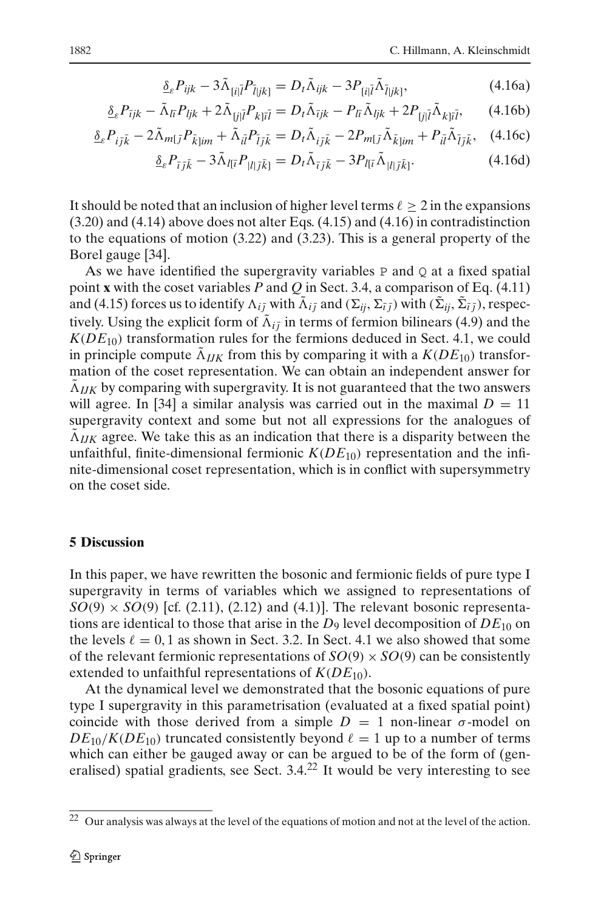$$
\underline{\delta}_{\varepsilon} P_{ijk} - 3\tilde{\Lambda}_{[i|\bar{l}} P_{\bar{l}|jk]} = D_t \tilde{\Lambda}_{ijk} - 3P_{[i|\bar{l}} \tilde{\Lambda}_{\bar{l}|jk]}, \tag{4.16a}
$$

$$
\underline{\delta}_{\varepsilon} P_{\bar{\iota} jk} - \tilde{\Lambda}_{l\bar{\iota}} P_{ljk} + 2\tilde{\Lambda}_{\bar{\iota} j\bar{\iota}} P_{k\bar{\iota} \bar{\iota} \bar{\iota}} = D_t \tilde{\Lambda}_{\bar{\iota} jk} - P_{l\bar{\iota}} \tilde{\Lambda}_{ljk} + 2P_{\bar{\iota} j\bar{\iota}} \tilde{\Lambda}_{k\bar{\iota} \bar{\iota} \bar{\iota}}, \tag{4.16b}
$$

$$
\underline{\delta}_{\varepsilon} P_{i\bar{j}\bar{k}} - 2\tilde{\Lambda}_{m\bar{j}} P_{\bar{k}\bar{j}im} + \tilde{\Lambda}_{i\bar{l}} P_{\bar{l}j\bar{k}} = D_t \tilde{\Lambda}_{i\bar{j}\bar{k}} - 2P_{m\bar{l}} \tilde{\Lambda}_{\bar{k}\bar{j}im} + P_{i\bar{l}} \tilde{\Lambda}_{\bar{l}j\bar{k}}, \quad (4.16c)
$$

$$
\underline{\delta}_{\varepsilon} P_{\bar{\iota}\bar{\jmath}\bar{k}} - 3\tilde{\Lambda}_{I[\bar{\iota}} P_{|I|\bar{\jmath}\bar{k}]} = D_t \tilde{\Lambda}_{\bar{\iota}\bar{\jmath}\bar{k}} - 3P_{I[\bar{\iota}} \tilde{\Lambda}_{|I|\bar{\jmath}\bar{k}]}.
$$
\n(4.16d)

It should be noted that an inclusion of higher level terms  $\ell \geq 2$  in the expansions [\(3.20\)](#page-12-1) and [\(4.14\)](#page-20-0) above does not alter Eqs. [\(4.15\)](#page-20-1) and [\(4.16\)](#page-20-2) in contradistinction to the equations of motion [\(3.22\)](#page-13-1) and [\(3.23\)](#page-13-0). This is a general property of the Borel gauge [\[34\]](#page-24-15).

As we have identified the supergravity variables  $P$  and  $Q$  at a fixed spatial point **x** with the coset variables *P* and *Q* in Sect. [3.4,](#page-13-3) a comparison of Eq. [\(4.11\)](#page-19-2) and [\(4.15\)](#page-20-1) forces us to identify  $\Lambda_{i\bar{j}}$  with  $\tilde{\Lambda}_{i\bar{j}}$  and  $(\Sigma_{ii}, \Sigma_{\bar{i}})$  with  $(\tilde{\Sigma}_{ii}, \tilde{\Sigma}_{\bar{i}})$ , respectively. Using the explicit form of  $\tilde{\Lambda}_{i\bar{i}}$  in terms of fermion bilinears [\(4.9\)](#page-19-3) and the  $K(DE_{10})$  transformation rules for the fermions deduced in Sect. [4.1,](#page-16-3) we could in principle compute  $\tilde{\Lambda}_{IJK}$  from this by comparing it with a  $K(DE_{10})$  transformation of the coset representation. We can obtain an independent answer for  $\tilde{\Lambda}_{IJK}$  by comparing with supergravity. It is not guaranteed that the two answers will agree. In [\[34\]](#page-24-15) a similar analysis was carried out in the maximal  $D = 11$ supergravity context and some but not all expressions for the analogues of  $\Lambda_{IJK}$  agree. We take this as an indication that there is a disparity between the unfaithful, finite-dimensional fermionic  $K(DE_{10})$  representation and the infinite-dimensional coset representation, which is in conflict with supersymmetry on the coset side.

## <span id="page-21-0"></span>**5 Discussion**

In this paper, we have rewritten the bosonic and fermionic fields of pure type I supergravity in terms of variables which we assigned to representations of  $SO(9) \times SO(9)$  [cf. [\(2.11\)](#page-5-0), [\(2.12\)](#page-5-1) and [\(4.1\)](#page-16-0)]. The relevant bosonic representations are identical to those that arise in the  $D_9$  level decomposition of  $DE_{10}$  on the levels  $\ell = 0, 1$  as shown in Sect. [3.2.](#page-9-2) In Sect. [4.1](#page-16-3) we also showed that some of the relevant fermionic representations of  $SO(9) \times SO(9)$  can be consistently extended to unfaithful representations of  $K(DE_{10})$ .

At the dynamical level we demonstrated that the bosonic equations of pure type I supergravity in this parametrisation (evaluated at a fixed spatial point) coincide with those derived from a simple  $D = 1$  non-linear  $\sigma$ -model on  $DE_{10}/K(DE_{10})$  truncated consistently beyond  $\ell = 1$  up to a number of terms which can either be gauged away or can be argued to be of the form of (generalised) spatial gradients, see Sect.  $3.4<sup>22</sup>$  $3.4<sup>22</sup>$  $3.4<sup>22</sup>$  It would be very interesting to see

<span id="page-21-1"></span><sup>22</sup> Our analysis was always at the level of the equations of motion and not at the level of the action.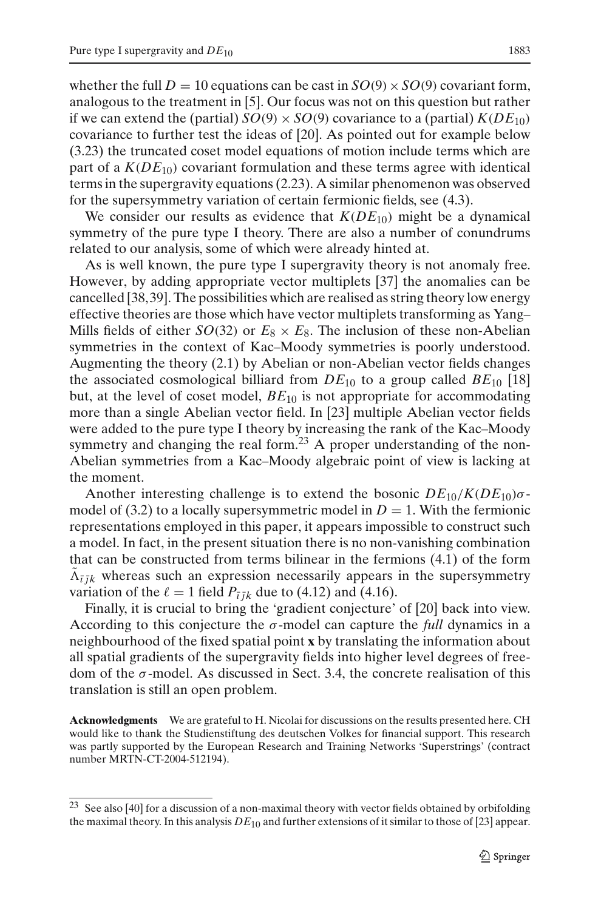whether the full  $D = 10$  equations can be cast in  $SO(9) \times SO(9)$  covariant form, analogous to the treatment in [\[5](#page-23-12)]. Our focus was not on this question but rather if we can extend the (partial)  $SO(9) \times SO(9)$  covariance to a (partial)  $K(DE_{10})$ covariance to further test the ideas of [\[20](#page-24-3)]. As pointed out for example below [\(3.23\)](#page-13-0) the truncated coset model equations of motion include terms which are part of a  $K(DE_{10})$  covariant formulation and these terms agree with identical terms in the supergravity equations [\(2.23\)](#page-7-2). A similar phenomenon was observed for the supersymmetry variation of certain fermionic fields, see [\(4.3\)](#page-17-0).

We consider our results as evidence that  $K(DE_{10})$  might be a dynamical symmetry of the pure type I theory. There are also a number of conundrums related to our analysis, some of which were already hinted at.

As is well known, the pure type I supergravity theory is not anomaly free. However, by adding appropriate vector multiplets [\[37\]](#page-24-18) the anomalies can be cancelled [\[38](#page-24-19), [39\]](#page-24-20). The possibilities which are realised as string theory low energy effective theories are those which have vector multiplets transforming as Yang– Mills fields of either *SO*(32) or  $E_8 \times E_8$ . The inclusion of these non-Abelian symmetries in the context of Kac–Moody symmetries is poorly understood. Augmenting the theory [\(2.1\)](#page-2-3) by Abelian or non-Abelian vector fields changes the associated cosmological billiard from  $DE_{10}$  to a group called  $BE_{10}$  [\[18\]](#page-24-1) but, at the level of coset model, *BE*<sup>10</sup> is not appropriate for accommodating more than a single Abelian vector field. In [\[23](#page-24-6)] multiple Abelian vector fields were added to the pure type I theory by increasing the rank of the Kac–Moody symmetry and changing the real form.<sup>[23](#page-22-0)</sup> A proper understanding of the non-Abelian symmetries from a Kac–Moody algebraic point of view is lacking at the moment.

Another interesting challenge is to extend the bosonic  $DE_{10}/K(DE_{10})\sigma$ -model of [\(3.2\)](#page-8-3) to a locally supersymmetric model in  $D = 1$ . With the fermionic representations employed in this paper, it appears impossible to construct such a model. In fact, in the present situation there is no non-vanishing combination that can be constructed from terms bilinear in the fermions [\(4.1\)](#page-16-0) of the form  $\tilde{\Lambda}_{\overline{i} \overline{j} k}$  whereas such an expression necessarily appears in the supersymmetry variation of the  $\ell = 1$  field  $P_{\bar{i} \bar{j} k}$  due to [\(4.12\)](#page-19-4) and [\(4.16\)](#page-20-2).

Finally, it is crucial to bring the 'gradient conjecture' of [\[20](#page-24-3)] back into view. According to this conjecture the  $\sigma$ -model can capture the *full* dynamics in a neighbourhood of the fixed spatial point **x** by translating the information about all spatial gradients of the supergravity fields into higher level degrees of freedom of the  $\sigma$ -model. As discussed in Sect. [3.4,](#page-13-3) the concrete realisation of this translation is still an open problem.

**Acknowledgments** We are grateful to H. Nicolai for discussions on the results presented here. CH would like to thank the Studienstiftung des deutschen Volkes for financial support. This research was partly supported by the European Research and Training Networks 'Superstrings' (contract number MRTN-CT-2004-512194).

<span id="page-22-0"></span> $23$  See also [\[40](#page-24-21)] for a discussion of a non-maximal theory with vector fields obtained by orbifolding the maximal theory. In this analysis  $DE_{10}$  and further extensions of it similar to those of [\[23](#page-24-6)] appear.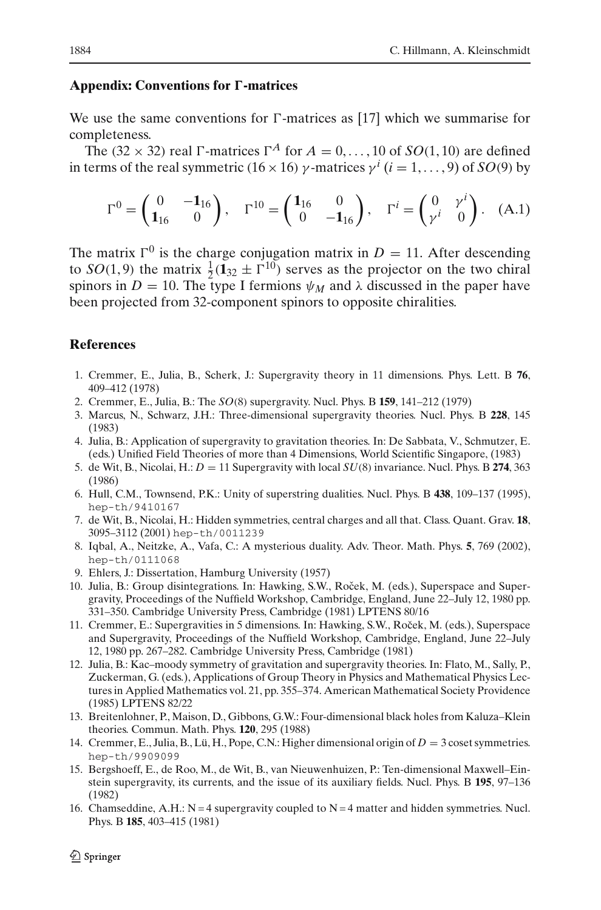# **Appendix: Conventions for** *-***-matrices**

We use the same conventions for  $\Gamma$ -matrices as [\[17\]](#page-24-0) which we summarise for completeness.

The (32  $\times$  32) real  $\Gamma$ -matrices  $\Gamma^A$  for  $A = 0, \ldots, 10$  of *SO*(1, 10) are defined in terms of the real symmetric (16 × 16)  $\gamma$ -matrices  $\gamma^{i}$  (*i* = 1, ..., 9) of *SO*(9) by

$$
\Gamma^0 = \begin{pmatrix} 0 & -\mathbf{1}_{16} \\ \mathbf{1}_{16} & 0 \end{pmatrix}, \quad \Gamma^{10} = \begin{pmatrix} \mathbf{1}_{16} & 0 \\ 0 & -\mathbf{1}_{16} \end{pmatrix}, \quad \Gamma^i = \begin{pmatrix} 0 & \gamma^i \\ \gamma^i & 0 \end{pmatrix}. \quad \text{(A.1)}
$$

The matrix  $\Gamma^0$  is the charge conjugation matrix in *D* = 11. After descending to *SO*(1, 9) the matrix  $\frac{1}{2}$ (**1**<sub>32</sub>  $\pm \Gamma^{10}$ ) serves as the projector on the two chiral spinors in  $D = 10$ . The type I fermions  $\psi_M$  and  $\lambda$  discussed in the paper have been projected from 32-component spinors to opposite chiralities.

## **References**

- <span id="page-23-0"></span>1. Cremmer, E., Julia, B., Scherk, J.: Supergravity theory in 11 dimensions. Phys. Lett. B **76**, 409–412 (1978)
- <span id="page-23-1"></span>2. Cremmer, E., Julia, B.: The *SO*(8) supergravity. Nucl. Phys. B **159**, 141–212 (1979)
- <span id="page-23-2"></span>3. Marcus, N., Schwarz, J.H.: Three-dimensional supergravity theories. Nucl. Phys. B **228**, 145 (1983)
- <span id="page-23-3"></span>4. Julia, B.: Application of supergravity to gravitation theories. In: De Sabbata, V., Schmutzer, E. (eds.) Unified Field Theories of more than 4 Dimensions, World Scientific Singapore, (1983)
- <span id="page-23-12"></span>5. de Wit, B., Nicolai, H.:  $D = 11$  Supergravity with local  $SU(8)$  invariance. Nucl. Phys. B 274, 363 (1986)
- 6. Hull, C.M., Townsend, P.K.: Unity of superstring dualities. Nucl. Phys. B **438**, 109–137 (1995), hep-th/9410167
- 7. de Wit, B., Nicolai, H.: Hidden symmetries, central charges and all that. Class. Quant. Grav. **18**, 3095–3112 (2001) hep-th/0011239
- <span id="page-23-4"></span>8. Iqbal, A., Neitzke, A., Vafa, C.: A mysterious duality. Adv. Theor. Math. Phys. **5**, 769 (2002), hep-th/0111068
- 9. Ehlers, J.: Dissertation, Hamburg University (1957)
- <span id="page-23-10"></span><span id="page-23-5"></span>10. Julia, B.: Group disintegrations. In: Hawking, S.W., Roček, M. (eds.), Superspace and Supergravity, Proceedings of the Nuffield Workshop, Cambridge, England, June 22–July 12, 1980 pp. 331–350. Cambridge University Press, Cambridge (1981) LPTENS 80/16
- 11. Cremmer, E.: Supergravities in 5 dimensions. In: Hawking, S.W., Roček, M. (eds.), Superspace and Supergravity, Proceedings of the Nuffield Workshop, Cambridge, England, June 22–July 12, 1980 pp. 267–282. Cambridge University Press, Cambridge (1981)
- <span id="page-23-11"></span>12. Julia, B.: Kac–moody symmetry of gravitation and supergravity theories. In: Flato, M., Sally, P., Zuckerman, G. (eds.), Applications of Group Theory in Physics and Mathematical Physics Lectures in Applied Mathematics vol. 21, pp. 355–374. American Mathematical Society Providence (1985) LPTENS 82/22
- <span id="page-23-6"></span>13. Breitenlohner, P., Maison, D., Gibbons, G.W.: Four-dimensional black holes from Kaluza–Klein theories. Commun. Math. Phys. **120**, 295 (1988)
- <span id="page-23-7"></span>14. Cremmer, E., Julia, B., Lü, H., Pope, C.N.: Higher dimensional origin of *D* = 3 coset symmetries. hep-th/9909099
- <span id="page-23-8"></span>15. Bergshoeff, E., de Roo, M., de Wit, B., van Nieuwenhuizen, P.: Ten-dimensional Maxwell–Einstein supergravity, its currents, and the issue of its auxiliary fields. Nucl. Phys. B **195**, 97–136 (1982)
- <span id="page-23-9"></span>16. Chamseddine, A.H.:  $N = 4$  supergravity coupled to  $N = 4$  matter and hidden symmetries. Nucl. Phys. B **185**, 403–415 (1981)